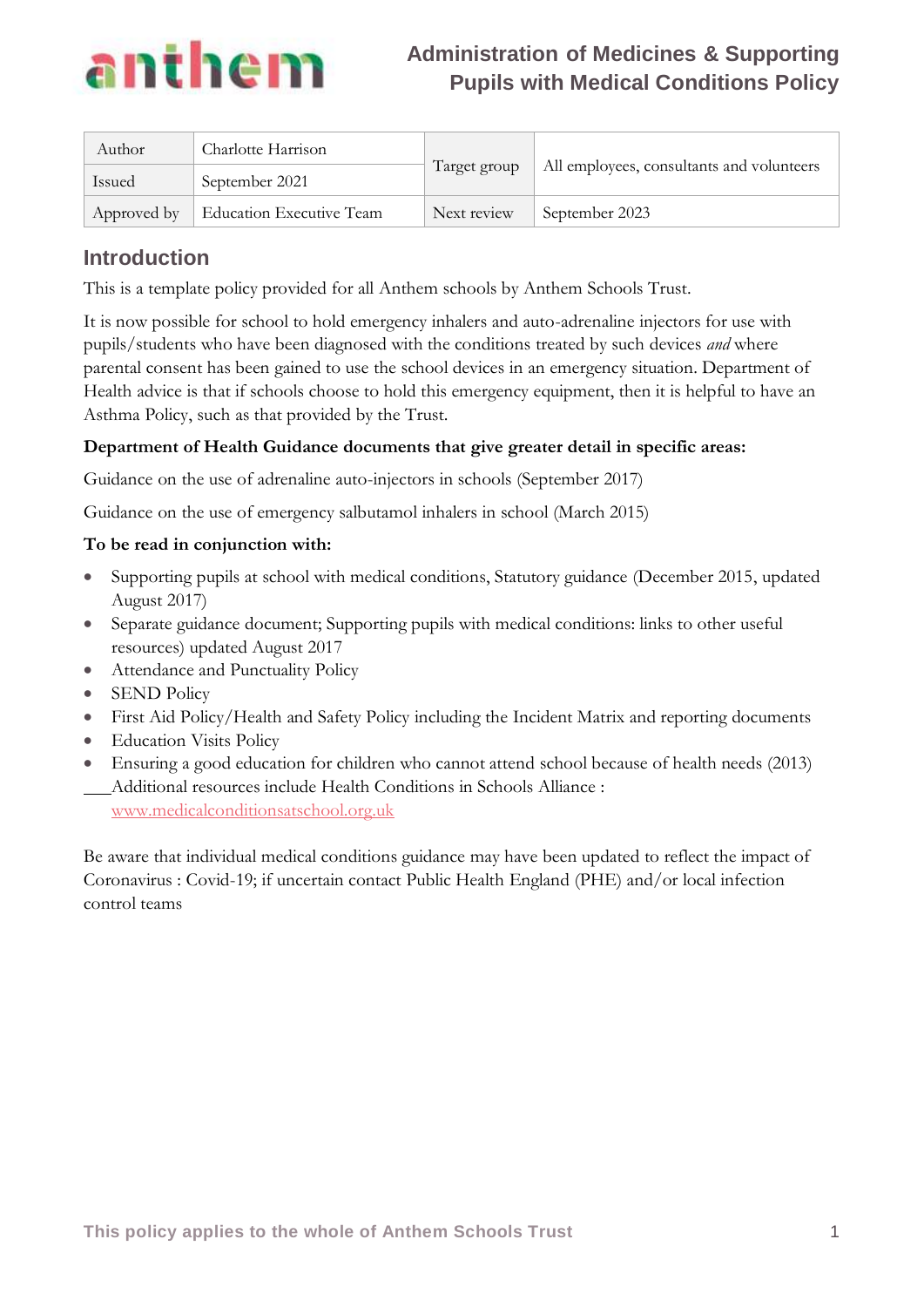

| Author        | Charlotte Harrison                   | Target group | All employees, consultants and volunteers |
|---------------|--------------------------------------|--------------|-------------------------------------------|
| <b>Issued</b> | September 2021                       |              |                                           |
|               | Approved by Education Executive Team | Next review  | September 2023                            |

## **Introduction**

This is a template policy provided for all Anthem schools by Anthem Schools Trust.

It is now possible for school to hold emergency inhalers and auto-adrenaline injectors for use with pupils/students who have been diagnosed with the conditions treated by such devices *and* where parental consent has been gained to use the school devices in an emergency situation. Department of Health advice is that if schools choose to hold this emergency equipment, then it is helpful to have an Asthma Policy, such as that provided by the Trust.

#### **Department of Health Guidance documents that give greater detail in specific areas:**

Guidance on the use of adrenaline auto-injectors in schools (September 2017)

Guidance on the use of emergency salbutamol inhalers in school (March 2015)

#### **To be read in conjunction with:**

- Supporting pupils at school with medical conditions, Statutory guidance (December 2015, updated August 2017)
- Separate guidance document; Supporting pupils with medical conditions: links to other useful resources) updated August 2017
- Attendance and Punctuality Policy
- SEND Policy
- First Aid Policy/Health and Safety Policy including the Incident Matrix and reporting documents
- Education Visits Policy
- Ensuring a good education for children who cannot attend school because of health needs (2013) Additional resources include Health Conditions in Schools Alliance : [www.medicalconditionsatschool.org.uk](http://www.medicalconditionsatschool.org.uk/)

Be aware that individual medical conditions guidance may have been updated to reflect the impact of Coronavirus : Covid-19; if uncertain contact Public Health England (PHE) and/or local infection control teams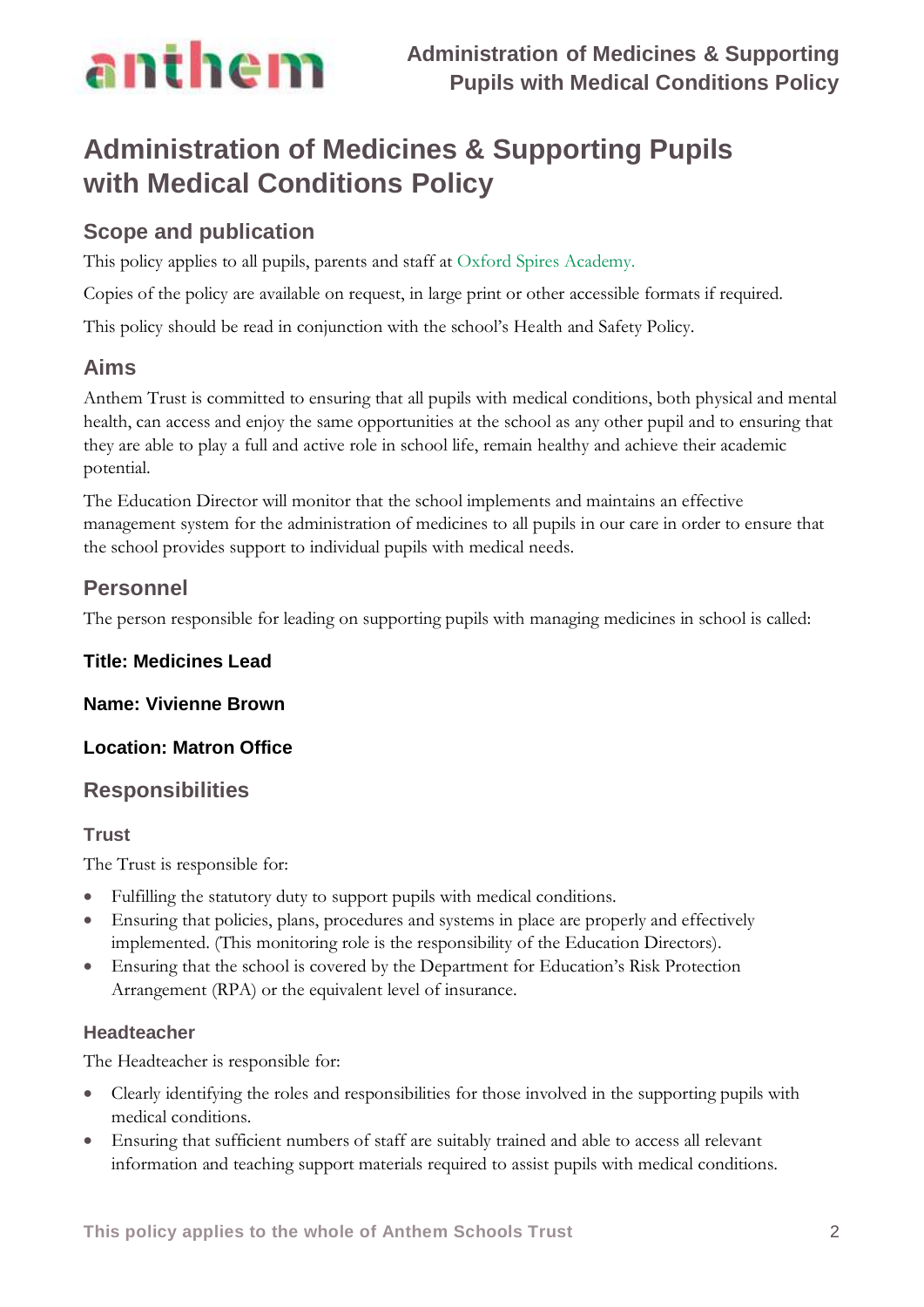

## **Scope and publication**

This policy applies to all pupils, parents and staff at Oxford Spires Academy.

Copies of the policy are available on request, in large print or other accessible formats if required.

This policy should be read in conjunction with the school's Health and Safety Policy.

## **Aims**

Anthem Trust is committed to ensuring that all pupils with medical conditions, both physical and mental health, can access and enjoy the same opportunities at the school as any other pupil and to ensuring that they are able to play a full and active role in school life, remain healthy and achieve their academic potential.

The Education Director will monitor that the school implements and maintains an effective management system for the administration of medicines to all pupils in our care in order to ensure that the school provides support to individual pupils with medical needs.

## **Personnel**

The person responsible for leading on supporting pupils with managing medicines in school is called:

### **Title: Medicines Lead**

**Name: Vivienne Brown**

**Location: Matron Office**

## **Responsibilities**

### **Trust**

The Trust is responsible for:

- Fulfilling the statutory duty to support pupils with medical conditions.
- Ensuring that policies, plans, procedures and systems in place are properly and effectively implemented. (This monitoring role is the responsibility of the Education Directors).
- Ensuring that the school is covered by the Department for Education's Risk Protection Arrangement (RPA) or the equivalent level of insurance.

### **Headteacher**

The Headteacher is responsible for:

- Clearly identifying the roles and responsibilities for those involved in the supporting pupils with medical conditions.
- Ensuring that sufficient numbers of staff are suitably trained and able to access all relevant information and teaching support materials required to assist pupils with medical conditions.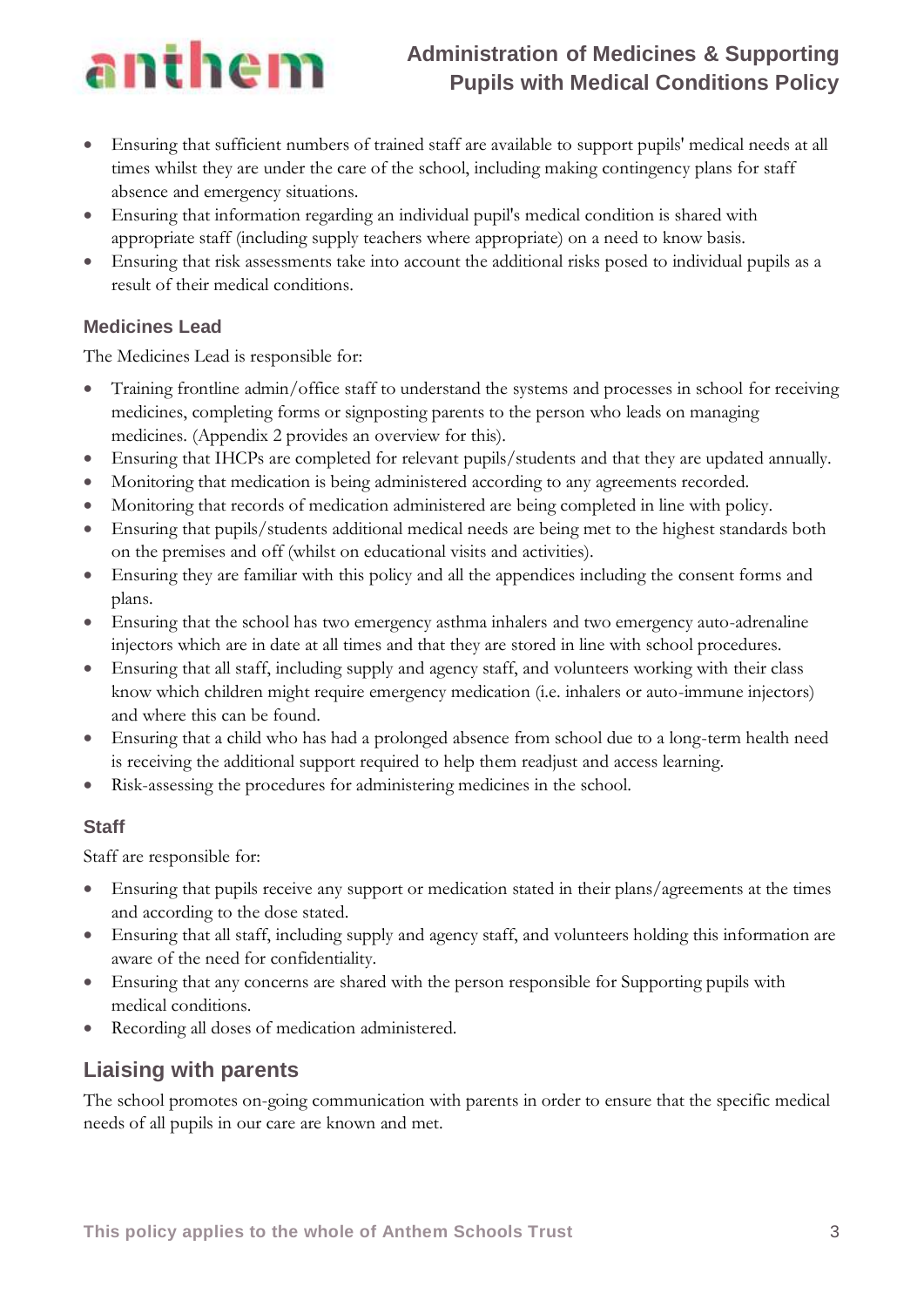## **Administration of Medicines & Supporting Pupils with Medical Conditions Policy**

- Ensuring that sufficient numbers of trained staff are available to support pupils' medical needs at all times whilst they are under the care of the school, including making contingency plans for staff absence and emergency situations.
- Ensuring that information regarding an individual pupil's medical condition is shared with appropriate staff (including supply teachers where appropriate) on a need to know basis.
- Ensuring that risk assessments take into account the additional risks posed to individual pupils as a result of their medical conditions.

### **Medicines Lead**

The Medicines Lead is responsible for:

- Training frontline admin/office staff to understand the systems and processes in school for receiving medicines, completing forms or signposting parents to the person who leads on managing medicines. (Appendix 2 provides an overview for this).
- Ensuring that IHCPs are completed for relevant pupils/students and that they are updated annually.
- Monitoring that medication is being administered according to any agreements recorded.
- Monitoring that records of medication administered are being completed in line with policy.
- Ensuring that pupils/students additional medical needs are being met to the highest standards both on the premises and off (whilst on educational visits and activities).
- Ensuring they are familiar with this policy and all the appendices including the consent forms and plans.
- Ensuring that the school has two emergency asthma inhalers and two emergency auto-adrenaline injectors which are in date at all times and that they are stored in line with school procedures.
- Ensuring that all staff, including supply and agency staff, and volunteers working with their class know which children might require emergency medication (i.e. inhalers or auto-immune injectors) and where this can be found.
- Ensuring that a child who has had a prolonged absence from school due to a long-term health need is receiving the additional support required to help them readjust and access learning.
- Risk-assessing the procedures for administering medicines in the school.

## **Staff**

Staff are responsible for:

- Ensuring that pupils receive any support or medication stated in their plans/agreements at the times and according to the dose stated.
- Ensuring that all staff, including supply and agency staff, and volunteers holding this information are aware of the need for confidentiality.
- Ensuring that any concerns are shared with the person responsible for Supporting pupils with medical conditions.
- Recording all doses of medication administered.

## **Liaising with parents**

The school promotes on-going communication with parents in order to ensure that the specific medical needs of all pupils in our care are known and met.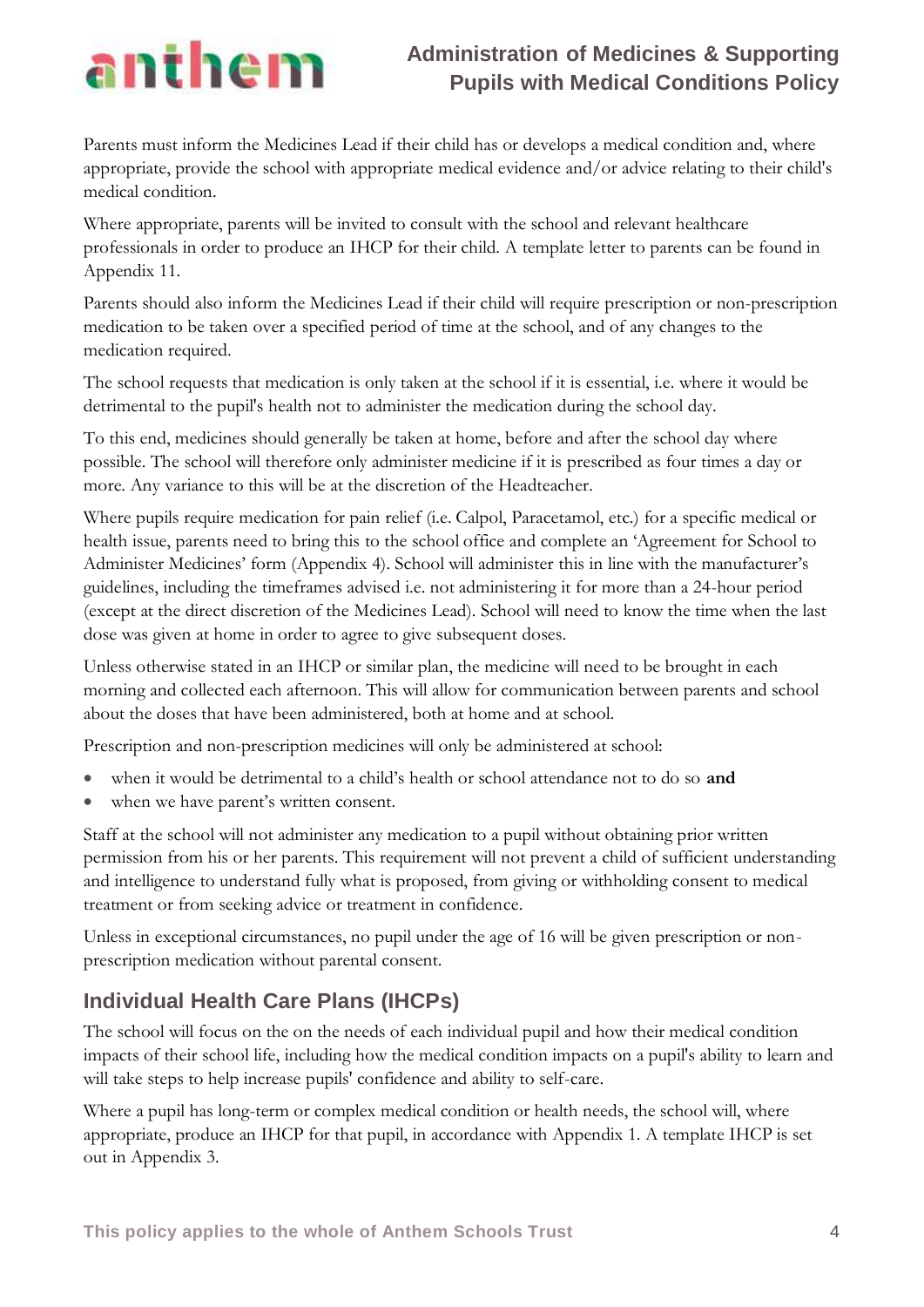## **Administration of Medicines & Supporting Pupils with Medical Conditions Policy**

Parents must inform the Medicines Lead if their child has or develops a medical condition and, where appropriate, provide the school with appropriate medical evidence and/or advice relating to their child's medical condition.

Where appropriate, parents will be invited to consult with the school and relevant healthcare professionals in order to produce an IHCP for their child. A template letter to parents can be found in Appendix 11.

Parents should also inform the Medicines Lead if their child will require prescription or non-prescription medication to be taken over a specified period of time at the school, and of any changes to the medication required.

The school requests that medication is only taken at the school if it is essential, i.e. where it would be detrimental to the pupil's health not to administer the medication during the school day.

To this end, medicines should generally be taken at home, before and after the school day where possible. The school will therefore only administer medicine if it is prescribed as four times a day or more. Any variance to this will be at the discretion of the Headteacher.

Where pupils require medication for pain relief (i.e. Calpol, Paracetamol, etc.) for a specific medical or health issue, parents need to bring this to the school office and complete an 'Agreement for School to Administer Medicines' form (Appendix 4). School will administer this in line with the manufacturer's guidelines, including the timeframes advised i.e. not administering it for more than a 24-hour period (except at the direct discretion of the Medicines Lead). School will need to know the time when the last dose was given at home in order to agree to give subsequent doses.

Unless otherwise stated in an IHCP or similar plan, the medicine will need to be brought in each morning and collected each afternoon. This will allow for communication between parents and school about the doses that have been administered, both at home and at school.

Prescription and non-prescription medicines will only be administered at school:

- when it would be detrimental to a child's health or school attendance not to do so **and**
- when we have parent's written consent.

Staff at the school will not administer any medication to a pupil without obtaining prior written permission from his or her parents. This requirement will not prevent a child of sufficient understanding and intelligence to understand fully what is proposed, from giving or withholding consent to medical treatment or from seeking advice or treatment in confidence.

Unless in exceptional circumstances, no pupil under the age of 16 will be given prescription or nonprescription medication without parental consent.

# **Individual Health Care Plans (IHCPs)**

The school will focus on the on the needs of each individual pupil and how their medical condition impacts of their school life, including how the medical condition impacts on a pupil's ability to learn and will take steps to help increase pupils' confidence and ability to self-care.

Where a pupil has long-term or complex medical condition or health needs, the school will, where appropriate, produce an IHCP for that pupil, in accordance with Appendix 1. A template IHCP is set out in Appendix 3.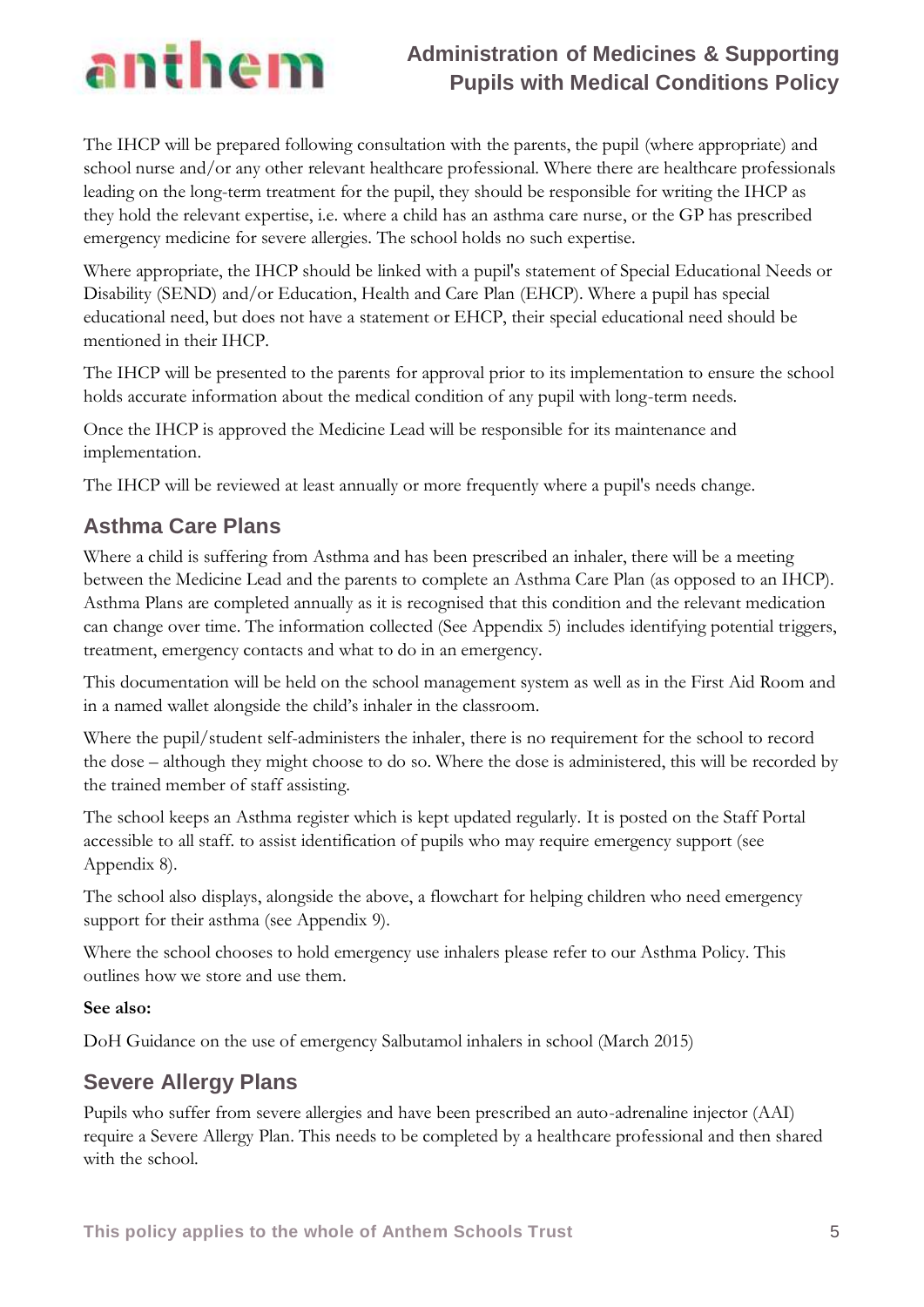# **Administration of Medicines & Supporting Pupils with Medical Conditions Policy**

The IHCP will be prepared following consultation with the parents, the pupil (where appropriate) and school nurse and/or any other relevant healthcare professional. Where there are healthcare professionals leading on the long-term treatment for the pupil, they should be responsible for writing the IHCP as they hold the relevant expertise, i.e. where a child has an asthma care nurse, or the GP has prescribed emergency medicine for severe allergies. The school holds no such expertise.

Where appropriate, the IHCP should be linked with a pupil's statement of Special Educational Needs or Disability (SEND) and/or Education, Health and Care Plan (EHCP). Where a pupil has special educational need, but does not have a statement or EHCP, their special educational need should be mentioned in their IHCP.

The IHCP will be presented to the parents for approval prior to its implementation to ensure the school holds accurate information about the medical condition of any pupil with long-term needs.

Once the IHCP is approved the Medicine Lead will be responsible for its maintenance and implementation.

The IHCP will be reviewed at least annually or more frequently where a pupil's needs change.

# **Asthma Care Plans**

Where a child is suffering from Asthma and has been prescribed an inhaler, there will be a meeting between the Medicine Lead and the parents to complete an Asthma Care Plan (as opposed to an IHCP). Asthma Plans are completed annually as it is recognised that this condition and the relevant medication can change over time. The information collected (See Appendix 5) includes identifying potential triggers, treatment, emergency contacts and what to do in an emergency.

This documentation will be held on the school management system as well as in the First Aid Room and in a named wallet alongside the child's inhaler in the classroom.

Where the pupil/student self-administers the inhaler, there is no requirement for the school to record the dose – although they might choose to do so. Where the dose is administered, this will be recorded by the trained member of staff assisting.

The school keeps an Asthma register which is kept updated regularly. It is posted on the Staff Portal accessible to all staff. to assist identification of pupils who may require emergency support (see Appendix 8).

The school also displays, alongside the above, a flowchart for helping children who need emergency support for their asthma (see Appendix 9).

Where the school chooses to hold emergency use inhalers please refer to our Asthma Policy. This outlines how we store and use them.

### **See also:**

DoH Guidance on the use of emergency Salbutamol inhalers in school (March 2015)

## **Severe Allergy Plans**

Pupils who suffer from severe allergies and have been prescribed an auto-adrenaline injector (AAI) require a Severe Allergy Plan. This needs to be completed by a healthcare professional and then shared with the school.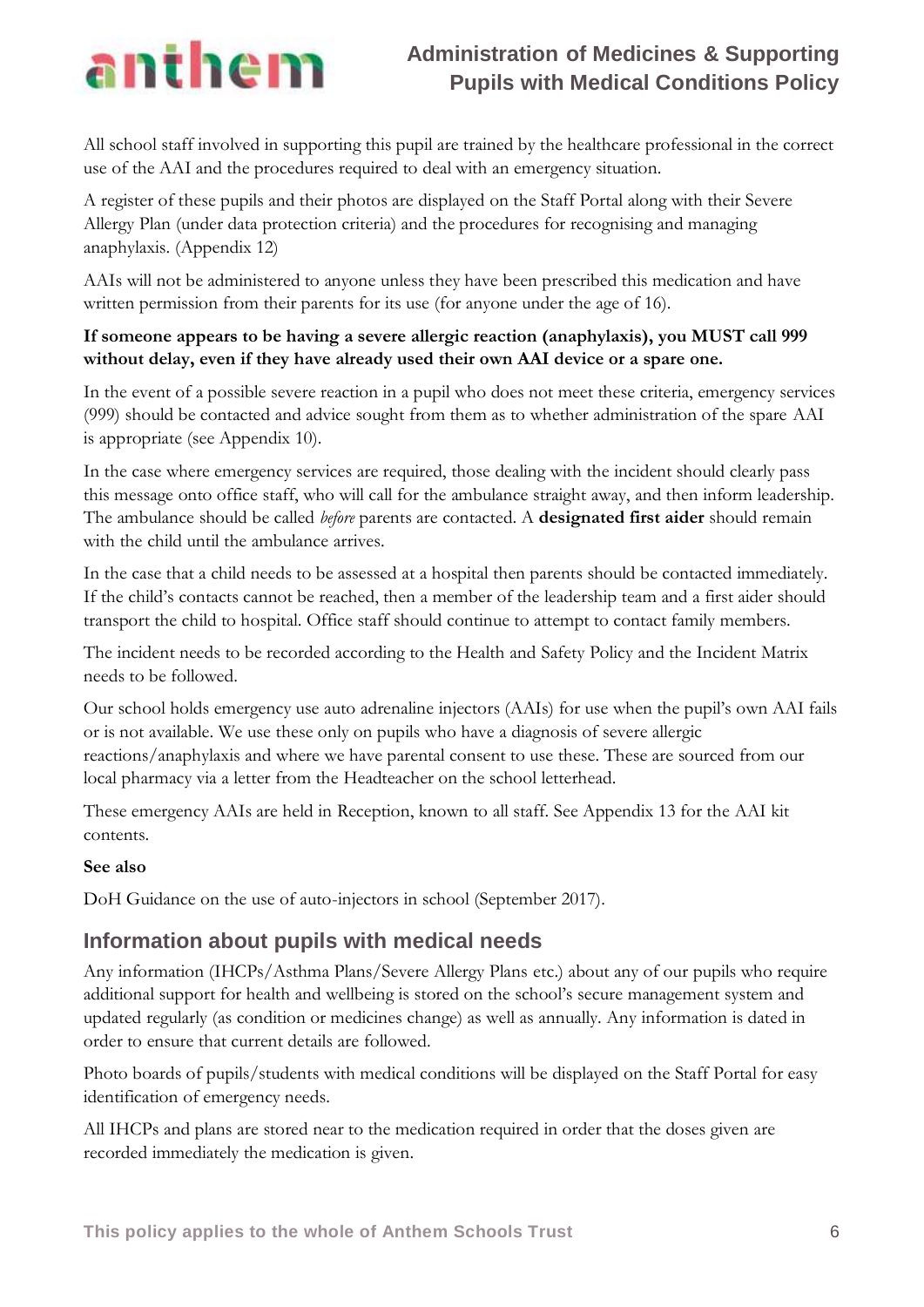## **Administration of Medicines & Supporting Pupils with Medical Conditions Policy**

All school staff involved in supporting this pupil are trained by the healthcare professional in the correct use of the AAI and the procedures required to deal with an emergency situation.

A register of these pupils and their photos are displayed on the Staff Portal along with their Severe Allergy Plan (under data protection criteria) and the procedures for recognising and managing anaphylaxis. (Appendix 12)

AAIs will not be administered to anyone unless they have been prescribed this medication and have written permission from their parents for its use (for anyone under the age of 16).

#### **If someone appears to be having a severe allergic reaction (anaphylaxis), you MUST call 999 without delay, even if they have already used their own AAI device or a spare one.**

In the event of a possible severe reaction in a pupil who does not meet these criteria, emergency services (999) should be contacted and advice sought from them as to whether administration of the spare AAI is appropriate (see Appendix 10).

In the case where emergency services are required, those dealing with the incident should clearly pass this message onto office staff, who will call for the ambulance straight away, and then inform leadership. The ambulance should be called *before* parents are contacted. A **designated first aider** should remain with the child until the ambulance arrives.

In the case that a child needs to be assessed at a hospital then parents should be contacted immediately. If the child's contacts cannot be reached, then a member of the leadership team and a first aider should transport the child to hospital. Office staff should continue to attempt to contact family members.

The incident needs to be recorded according to the Health and Safety Policy and the Incident Matrix needs to be followed.

Our school holds emergency use auto adrenaline injectors (AAIs) for use when the pupil's own AAI fails or is not available. We use these only on pupils who have a diagnosis of severe allergic reactions/anaphylaxis and where we have parental consent to use these. These are sourced from our local pharmacy via a letter from the Headteacher on the school letterhead.

These emergency AAIs are held in Reception, known to all staff. See Appendix 13 for the AAI kit contents.

### **See also**

DoH Guidance on the use of auto-injectors in school (September 2017).

## **Information about pupils with medical needs**

Any information (IHCPs/Asthma Plans/Severe Allergy Plans etc.) about any of our pupils who require additional support for health and wellbeing is stored on the school's secure management system and updated regularly (as condition or medicines change) as well as annually. Any information is dated in order to ensure that current details are followed.

Photo boards of pupils/students with medical conditions will be displayed on the Staff Portal for easy identification of emergency needs.

All IHCPs and plans are stored near to the medication required in order that the doses given are recorded immediately the medication is given.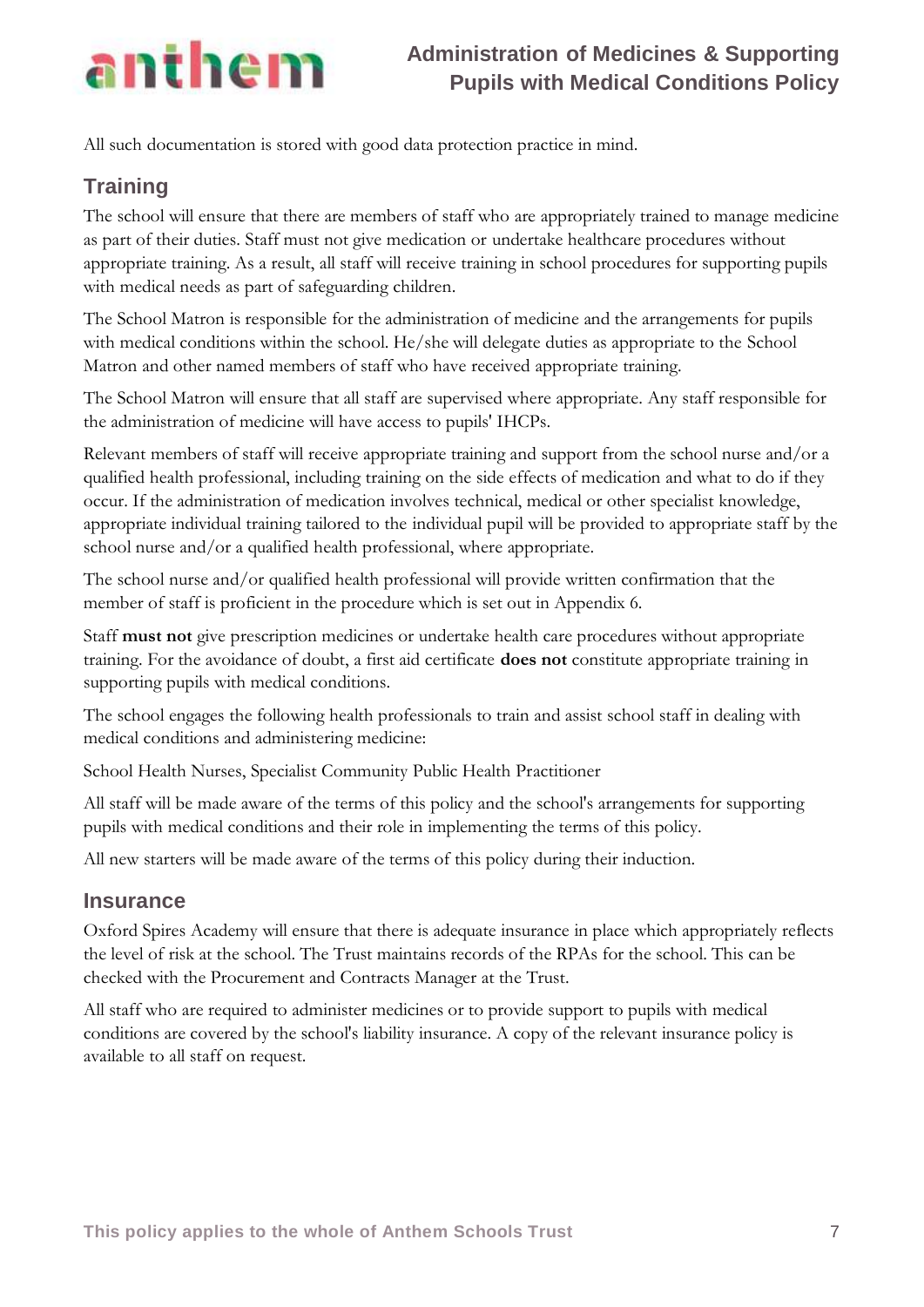## **Administration of Medicines & Supporting Pupils with Medical Conditions Policy**

All such documentation is stored with good data protection practice in mind.

# **Training**

The school will ensure that there are members of staff who are appropriately trained to manage medicine as part of their duties. Staff must not give medication or undertake healthcare procedures without appropriate training. As a result, all staff will receive training in school procedures for supporting pupils with medical needs as part of safeguarding children.

The School Matron is responsible for the administration of medicine and the arrangements for pupils with medical conditions within the school. He/she will delegate duties as appropriate to the School Matron and other named members of staff who have received appropriate training.

The School Matron will ensure that all staff are supervised where appropriate. Any staff responsible for the administration of medicine will have access to pupils' IHCPs.

Relevant members of staff will receive appropriate training and support from the school nurse and/or a qualified health professional, including training on the side effects of medication and what to do if they occur. If the administration of medication involves technical, medical or other specialist knowledge, appropriate individual training tailored to the individual pupil will be provided to appropriate staff by the school nurse and/or a qualified health professional, where appropriate.

The school nurse and/or qualified health professional will provide written confirmation that the member of staff is proficient in the procedure which is set out in Appendix 6.

Staff **must not** give prescription medicines or undertake health care procedures without appropriate training. For the avoidance of doubt, a first aid certificate **does not** constitute appropriate training in supporting pupils with medical conditions.

The school engages the following health professionals to train and assist school staff in dealing with medical conditions and administering medicine:

School Health Nurses, Specialist Community Public Health Practitioner

All staff will be made aware of the terms of this policy and the school's arrangements for supporting pupils with medical conditions and their role in implementing the terms of this policy.

All new starters will be made aware of the terms of this policy during their induction.

## **Insurance**

Oxford Spires Academy will ensure that there is adequate insurance in place which appropriately reflects the level of risk at the school. The Trust maintains records of the RPAs for the school. This can be checked with the Procurement and Contracts Manager at the Trust.

All staff who are required to administer medicines or to provide support to pupils with medical conditions are covered by the school's liability insurance. A copy of the relevant insurance policy is available to all staff on request.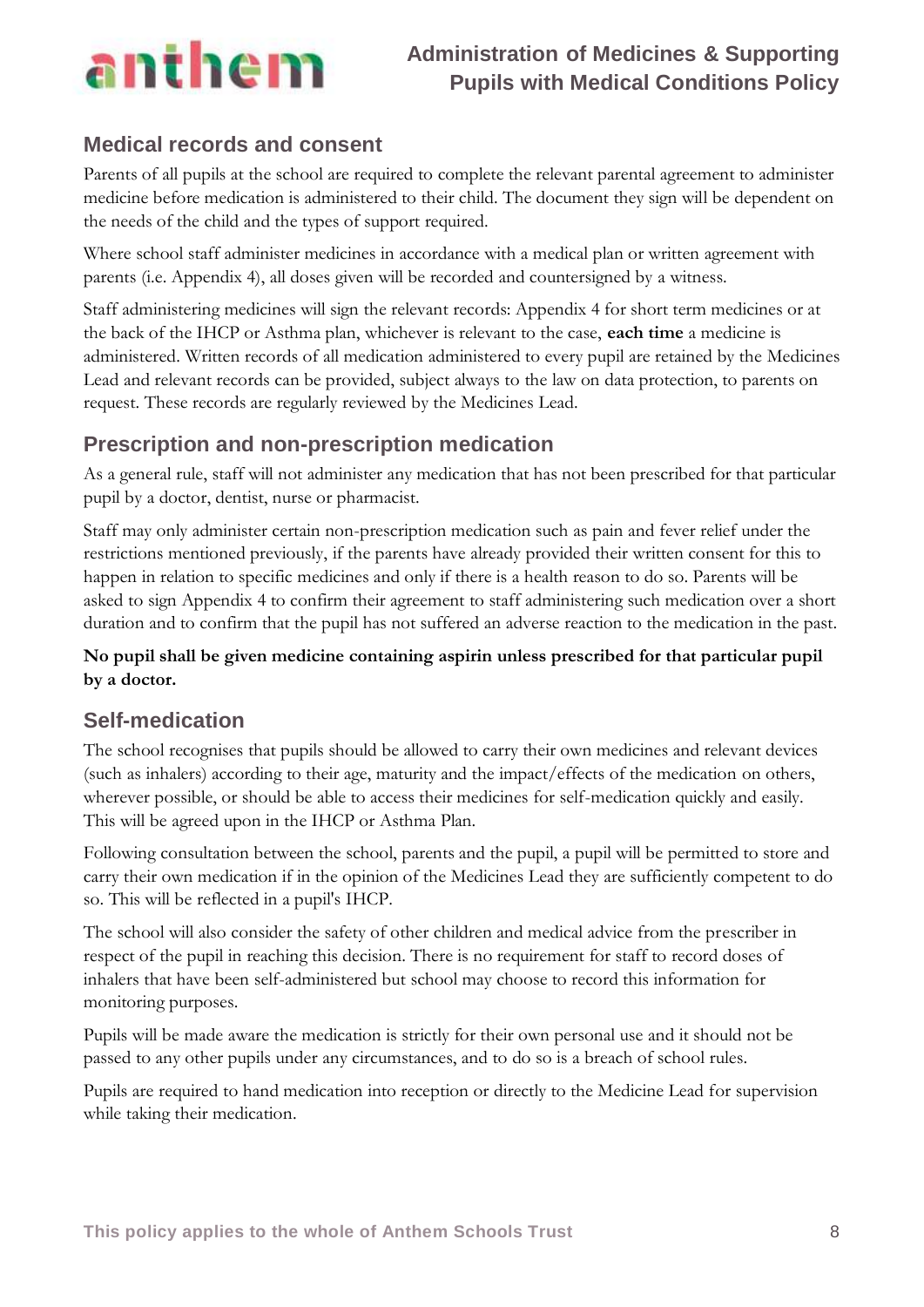## **Medical records and consent**

Parents of all pupils at the school are required to complete the relevant parental agreement to administer medicine before medication is administered to their child. The document they sign will be dependent on the needs of the child and the types of support required.

Where school staff administer medicines in accordance with a medical plan or written agreement with parents (i.e. Appendix 4), all doses given will be recorded and countersigned by a witness.

Staff administering medicines will sign the relevant records: Appendix 4 for short term medicines or at the back of the IHCP or Asthma plan, whichever is relevant to the case, **each time** a medicine is administered. Written records of all medication administered to every pupil are retained by the Medicines Lead and relevant records can be provided, subject always to the law on data protection, to parents on request. These records are regularly reviewed by the Medicines Lead.

## **Prescription and non-prescription medication**

As a general rule, staff will not administer any medication that has not been prescribed for that particular pupil by a doctor, dentist, nurse or pharmacist.

Staff may only administer certain non-prescription medication such as pain and fever relief under the restrictions mentioned previously, if the parents have already provided their written consent for this to happen in relation to specific medicines and only if there is a health reason to do so. Parents will be asked to sign Appendix 4 to confirm their agreement to staff administering such medication over a short duration and to confirm that the pupil has not suffered an adverse reaction to the medication in the past.

### **No pupil shall be given medicine containing aspirin unless prescribed for that particular pupil by a doctor.**

## **Self-medication**

The school recognises that pupils should be allowed to carry their own medicines and relevant devices (such as inhalers) according to their age, maturity and the impact/effects of the medication on others, wherever possible, or should be able to access their medicines for self-medication quickly and easily. This will be agreed upon in the IHCP or Asthma Plan.

Following consultation between the school, parents and the pupil, a pupil will be permitted to store and carry their own medication if in the opinion of the Medicines Lead they are sufficiently competent to do so. This will be reflected in a pupil's IHCP.

The school will also consider the safety of other children and medical advice from the prescriber in respect of the pupil in reaching this decision. There is no requirement for staff to record doses of inhalers that have been self-administered but school may choose to record this information for monitoring purposes.

Pupils will be made aware the medication is strictly for their own personal use and it should not be passed to any other pupils under any circumstances, and to do so is a breach of school rules.

Pupils are required to hand medication into reception or directly to the Medicine Lead for supervision while taking their medication.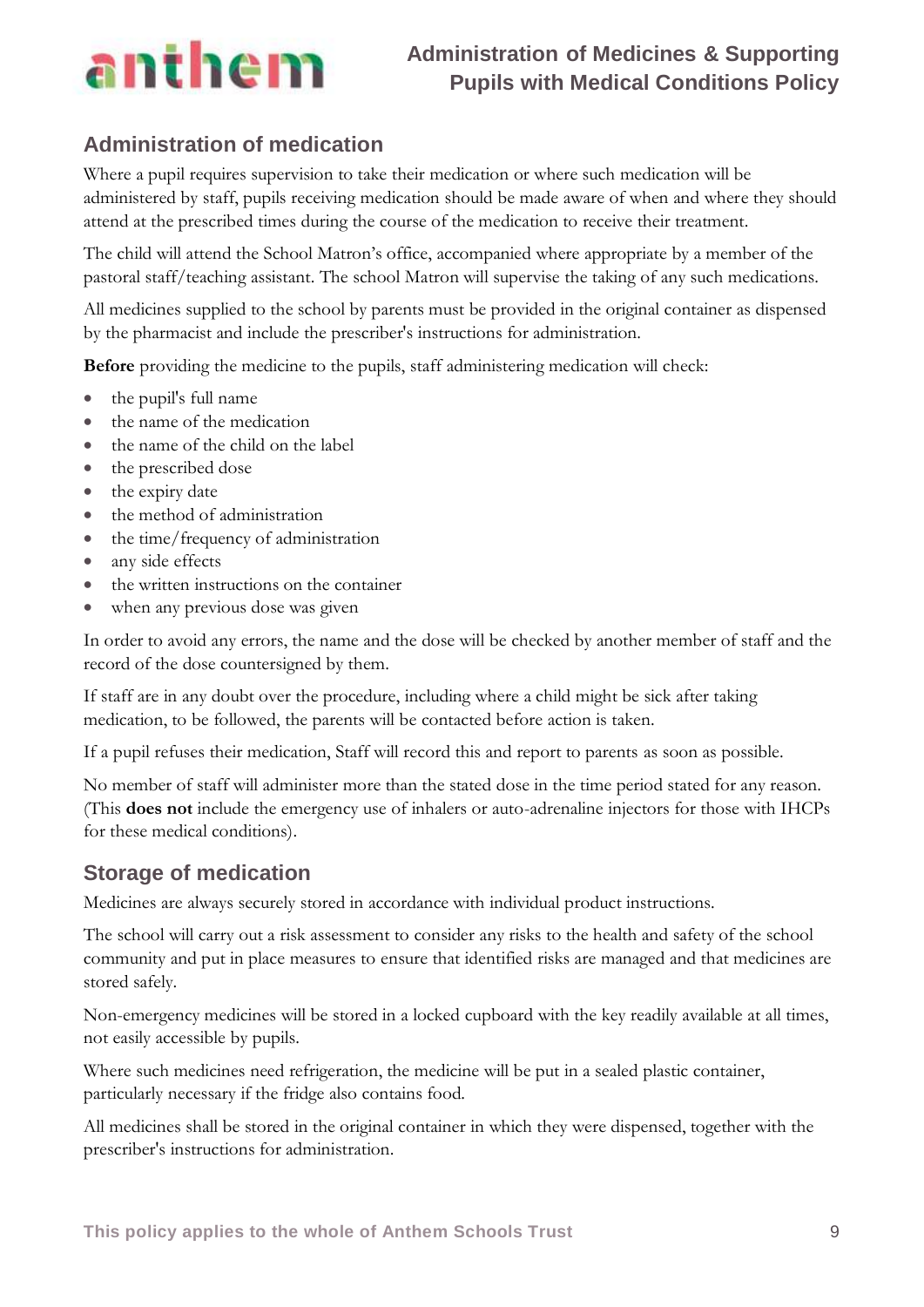## **Administration of Medicines & Supporting Pupils with Medical Conditions Policy**

## **Administration of medication**

Where a pupil requires supervision to take their medication or where such medication will be administered by staff, pupils receiving medication should be made aware of when and where they should attend at the prescribed times during the course of the medication to receive their treatment.

The child will attend the School Matron's office, accompanied where appropriate by a member of the pastoral staff/teaching assistant. The school Matron will supervise the taking of any such medications.

All medicines supplied to the school by parents must be provided in the original container as dispensed by the pharmacist and include the prescriber's instructions for administration.

**Before** providing the medicine to the pupils, staff administering medication will check:

- the pupil's full name
- the name of the medication
- the name of the child on the label
- the prescribed dose
- $\bullet$  the expiry date
- the method of administration
- the time/frequency of administration
- any side effects
- the written instructions on the container
- when any previous dose was given

In order to avoid any errors, the name and the dose will be checked by another member of staff and the record of the dose countersigned by them.

If staff are in any doubt over the procedure, including where a child might be sick after taking medication, to be followed, the parents will be contacted before action is taken.

If a pupil refuses their medication, Staff will record this and report to parents as soon as possible.

No member of staff will administer more than the stated dose in the time period stated for any reason. (This **does not** include the emergency use of inhalers or auto-adrenaline injectors for those with IHCPs for these medical conditions).

## **Storage of medication**

Medicines are always securely stored in accordance with individual product instructions.

The school will carry out a risk assessment to consider any risks to the health and safety of the school community and put in place measures to ensure that identified risks are managed and that medicines are stored safely.

Non-emergency medicines will be stored in a locked cupboard with the key readily available at all times, not easily accessible by pupils.

Where such medicines need refrigeration, the medicine will be put in a sealed plastic container, particularly necessary if the fridge also contains food.

All medicines shall be stored in the original container in which they were dispensed, together with the prescriber's instructions for administration.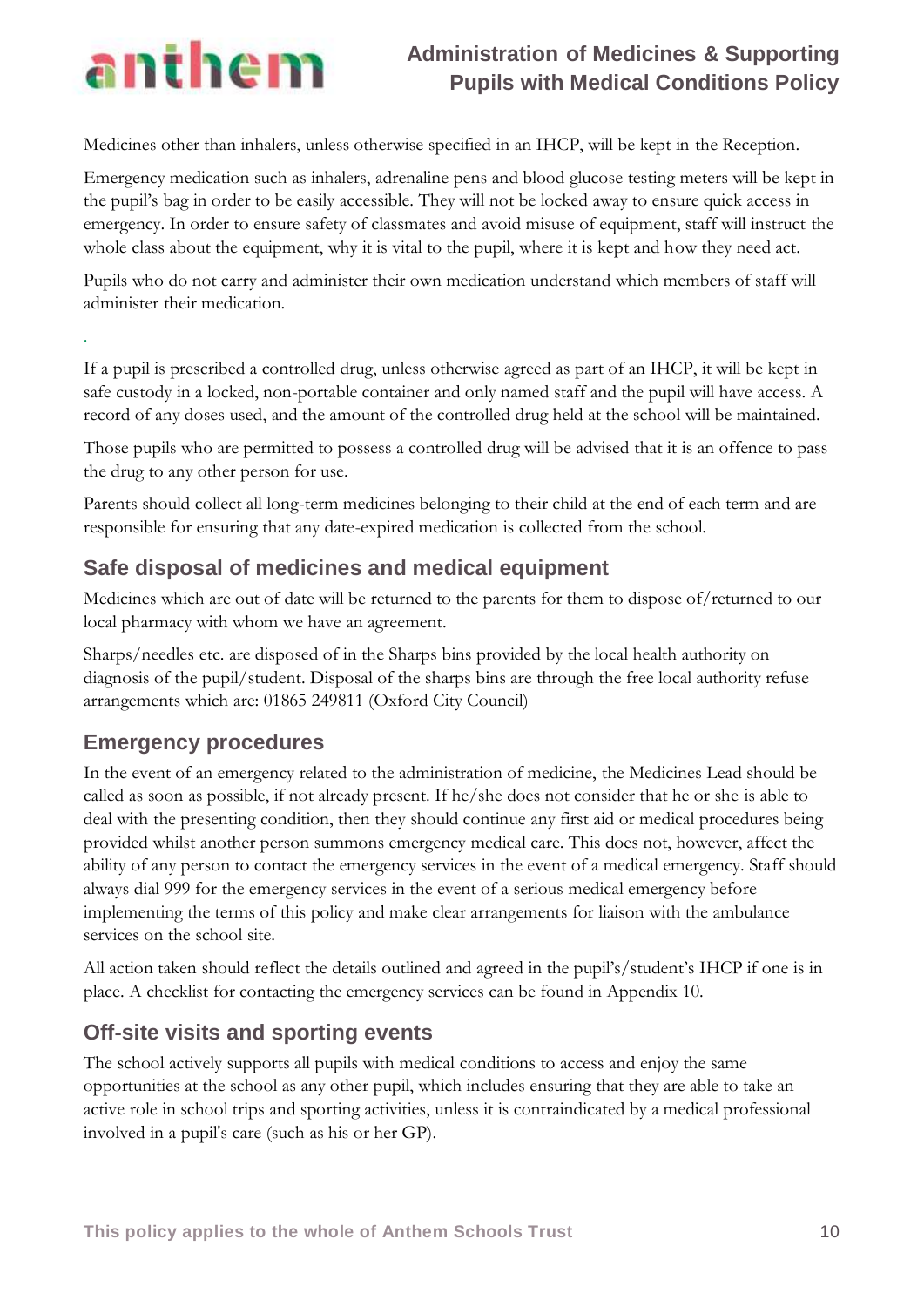.

# **Administration of Medicines & Supporting Pupils with Medical Conditions Policy**

Medicines other than inhalers, unless otherwise specified in an IHCP, will be kept in the Reception.

Emergency medication such as inhalers, adrenaline pens and blood glucose testing meters will be kept in the pupil's bag in order to be easily accessible. They will not be locked away to ensure quick access in emergency. In order to ensure safety of classmates and avoid misuse of equipment, staff will instruct the whole class about the equipment, why it is vital to the pupil, where it is kept and how they need act.

Pupils who do not carry and administer their own medication understand which members of staff will administer their medication.

If a pupil is prescribed a controlled drug, unless otherwise agreed as part of an IHCP, it will be kept in safe custody in a locked, non-portable container and only named staff and the pupil will have access. A record of any doses used, and the amount of the controlled drug held at the school will be maintained.

Those pupils who are permitted to possess a controlled drug will be advised that it is an offence to pass the drug to any other person for use.

Parents should collect all long-term medicines belonging to their child at the end of each term and are responsible for ensuring that any date-expired medication is collected from the school.

## **Safe disposal of medicines and medical equipment**

Medicines which are out of date will be returned to the parents for them to dispose of/returned to our local pharmacy with whom we have an agreement.

Sharps/needles etc. are disposed of in the Sharps bins provided by the local health authority on diagnosis of the pupil/student. Disposal of the sharps bins are through the free local authority refuse arrangements which are: 01865 249811 (Oxford City Council)

## **Emergency procedures**

In the event of an emergency related to the administration of medicine, the Medicines Lead should be called as soon as possible, if not already present. If he/she does not consider that he or she is able to deal with the presenting condition, then they should continue any first aid or medical procedures being provided whilst another person summons emergency medical care. This does not, however, affect the ability of any person to contact the emergency services in the event of a medical emergency. Staff should always dial 999 for the emergency services in the event of a serious medical emergency before implementing the terms of this policy and make clear arrangements for liaison with the ambulance services on the school site.

All action taken should reflect the details outlined and agreed in the pupil's/student's IHCP if one is in place. A checklist for contacting the emergency services can be found in Appendix 10.

## **Off-site visits and sporting events**

The school actively supports all pupils with medical conditions to access and enjoy the same opportunities at the school as any other pupil, which includes ensuring that they are able to take an active role in school trips and sporting activities, unless it is contraindicated by a medical professional involved in a pupil's care (such as his or her GP).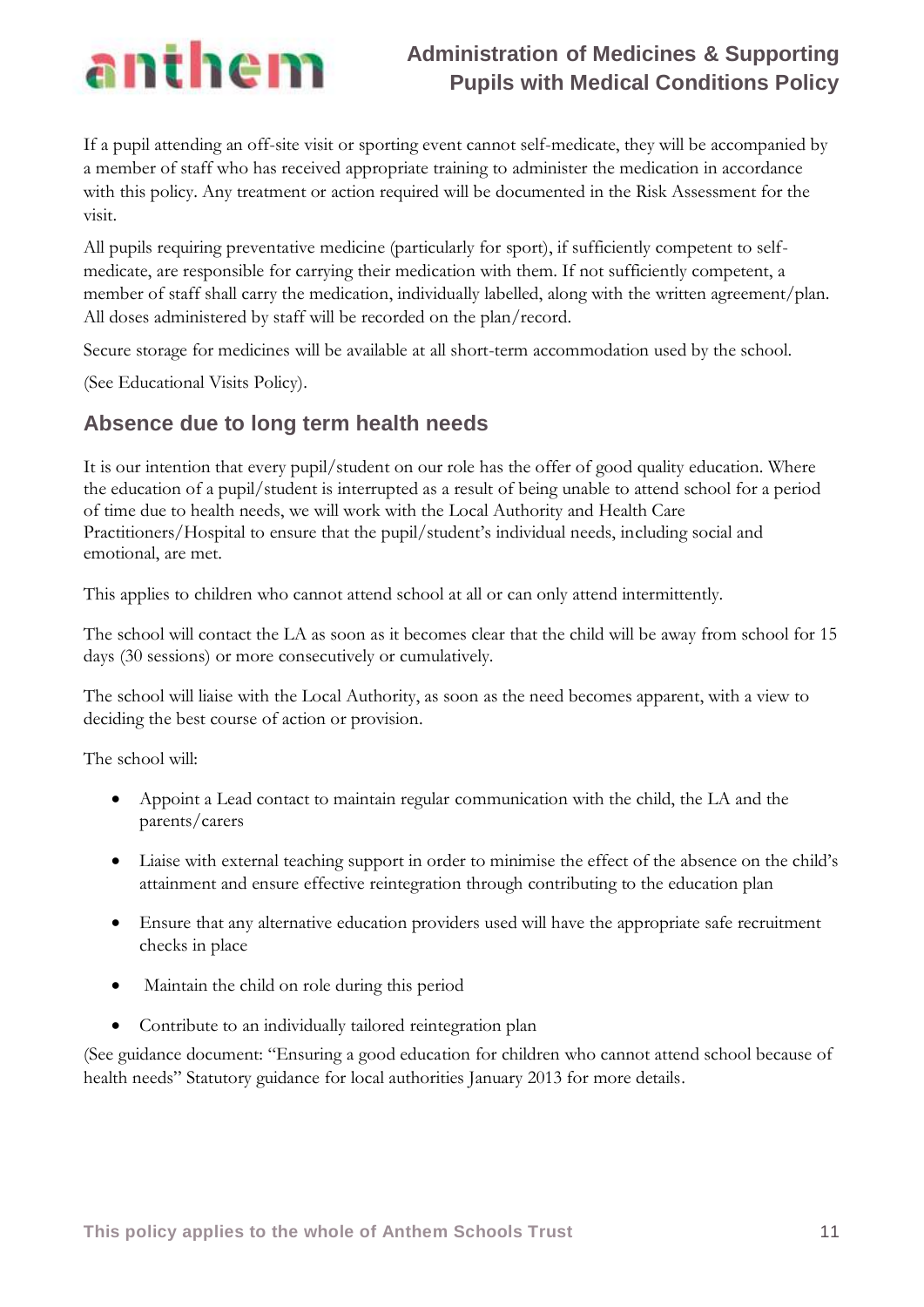## **Administration of Medicines & Supporting Pupils with Medical Conditions Policy**

If a pupil attending an off-site visit or sporting event cannot self-medicate, they will be accompanied by a member of staff who has received appropriate training to administer the medication in accordance with this policy. Any treatment or action required will be documented in the Risk Assessment for the visit.

All pupils requiring preventative medicine (particularly for sport), if sufficiently competent to selfmedicate, are responsible for carrying their medication with them. If not sufficiently competent, a member of staff shall carry the medication, individually labelled, along with the written agreement/plan. All doses administered by staff will be recorded on the plan/record.

Secure storage for medicines will be available at all short-term accommodation used by the school.

(See Educational Visits Policy).

## **Absence due to long term health needs**

It is our intention that every pupil/student on our role has the offer of good quality education. Where the education of a pupil/student is interrupted as a result of being unable to attend school for a period of time due to health needs, we will work with the Local Authority and Health Care Practitioners/Hospital to ensure that the pupil/student's individual needs, including social and emotional, are met.

This applies to children who cannot attend school at all or can only attend intermittently.

The school will contact the LA as soon as it becomes clear that the child will be away from school for 15 days (30 sessions) or more consecutively or cumulatively.

The school will liaise with the Local Authority, as soon as the need becomes apparent, with a view to deciding the best course of action or provision.

The school will:

- Appoint a Lead contact to maintain regular communication with the child, the LA and the parents/carers
- Liaise with external teaching support in order to minimise the effect of the absence on the child's attainment and ensure effective reintegration through contributing to the education plan
- Ensure that any alternative education providers used will have the appropriate safe recruitment checks in place
- Maintain the child on role during this period
- Contribute to an individually tailored reintegration plan

(See guidance document: "Ensuring a good education for children who cannot attend school because of health needs" Statutory guidance for local authorities January 2013 for more details.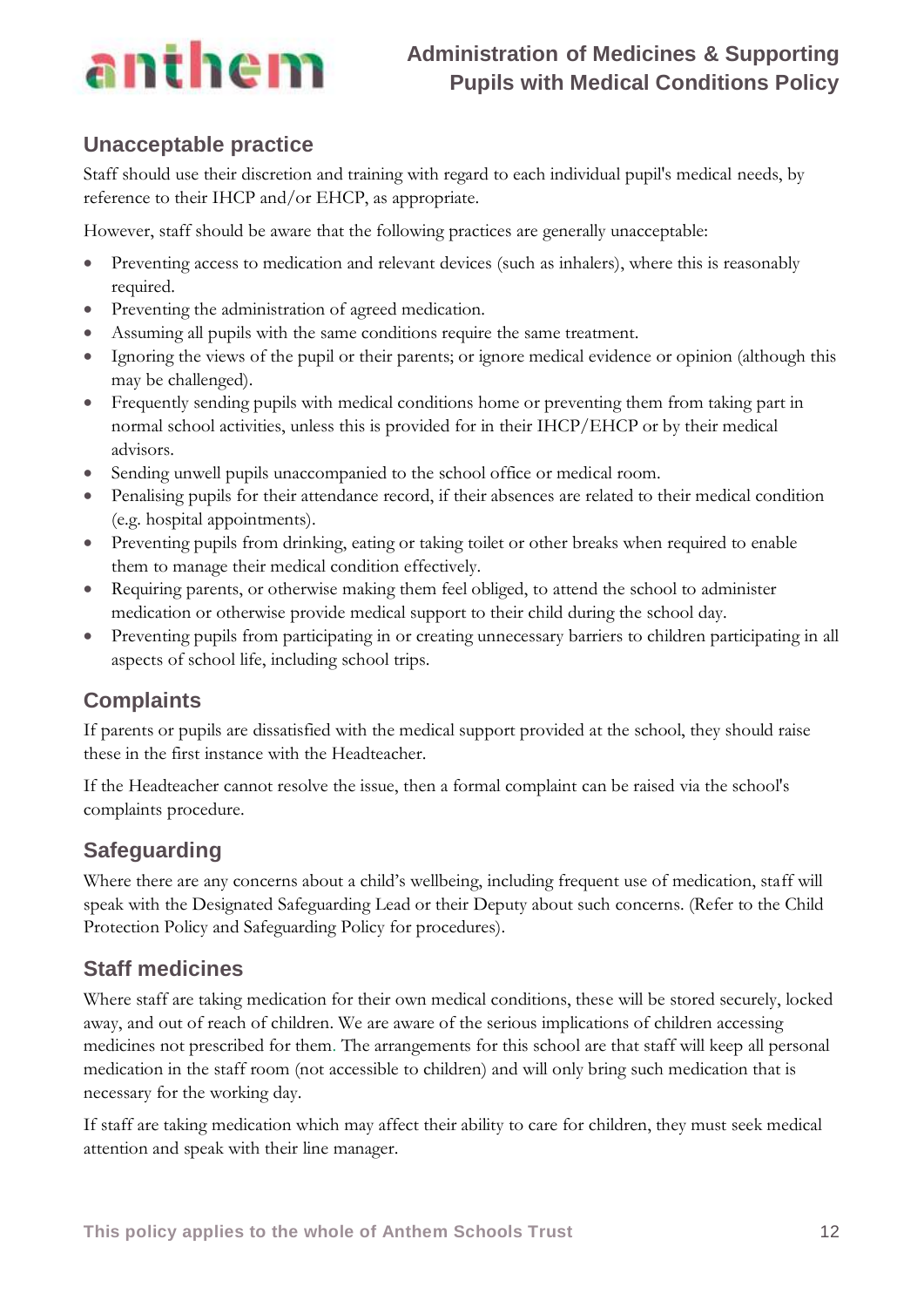## **Administration of Medicines & Supporting Pupils with Medical Conditions Policy**

# **Unacceptable practice**

Staff should use their discretion and training with regard to each individual pupil's medical needs, by reference to their IHCP and/or EHCP, as appropriate.

However, staff should be aware that the following practices are generally unacceptable:

- Preventing access to medication and relevant devices (such as inhalers), where this is reasonably required.
- Preventing the administration of agreed medication.
- Assuming all pupils with the same conditions require the same treatment.
- Ignoring the views of the pupil or their parents; or ignore medical evidence or opinion (although this may be challenged).
- Frequently sending pupils with medical conditions home or preventing them from taking part in normal school activities, unless this is provided for in their IHCP/EHCP or by their medical advisors.
- Sending unwell pupils unaccompanied to the school office or medical room.
- Penalising pupils for their attendance record, if their absences are related to their medical condition (e.g. hospital appointments).
- Preventing pupils from drinking, eating or taking toilet or other breaks when required to enable them to manage their medical condition effectively.
- Requiring parents, or otherwise making them feel obliged, to attend the school to administer medication or otherwise provide medical support to their child during the school day.
- Preventing pupils from participating in or creating unnecessary barriers to children participating in all aspects of school life, including school trips.

# **Complaints**

If parents or pupils are dissatisfied with the medical support provided at the school, they should raise these in the first instance with the Headteacher.

If the Headteacher cannot resolve the issue, then a formal complaint can be raised via the school's complaints procedure.

# **Safeguarding**

Where there are any concerns about a child's wellbeing, including frequent use of medication, staff will speak with the Designated Safeguarding Lead or their Deputy about such concerns. (Refer to the Child Protection Policy and Safeguarding Policy for procedures).

# **Staff medicines**

Where staff are taking medication for their own medical conditions, these will be stored securely, locked away, and out of reach of children. We are aware of the serious implications of children accessing medicines not prescribed for them. The arrangements for this school are that staff will keep all personal medication in the staff room (not accessible to children) and will only bring such medication that is necessary for the working day.

If staff are taking medication which may affect their ability to care for children, they must seek medical attention and speak with their line manager.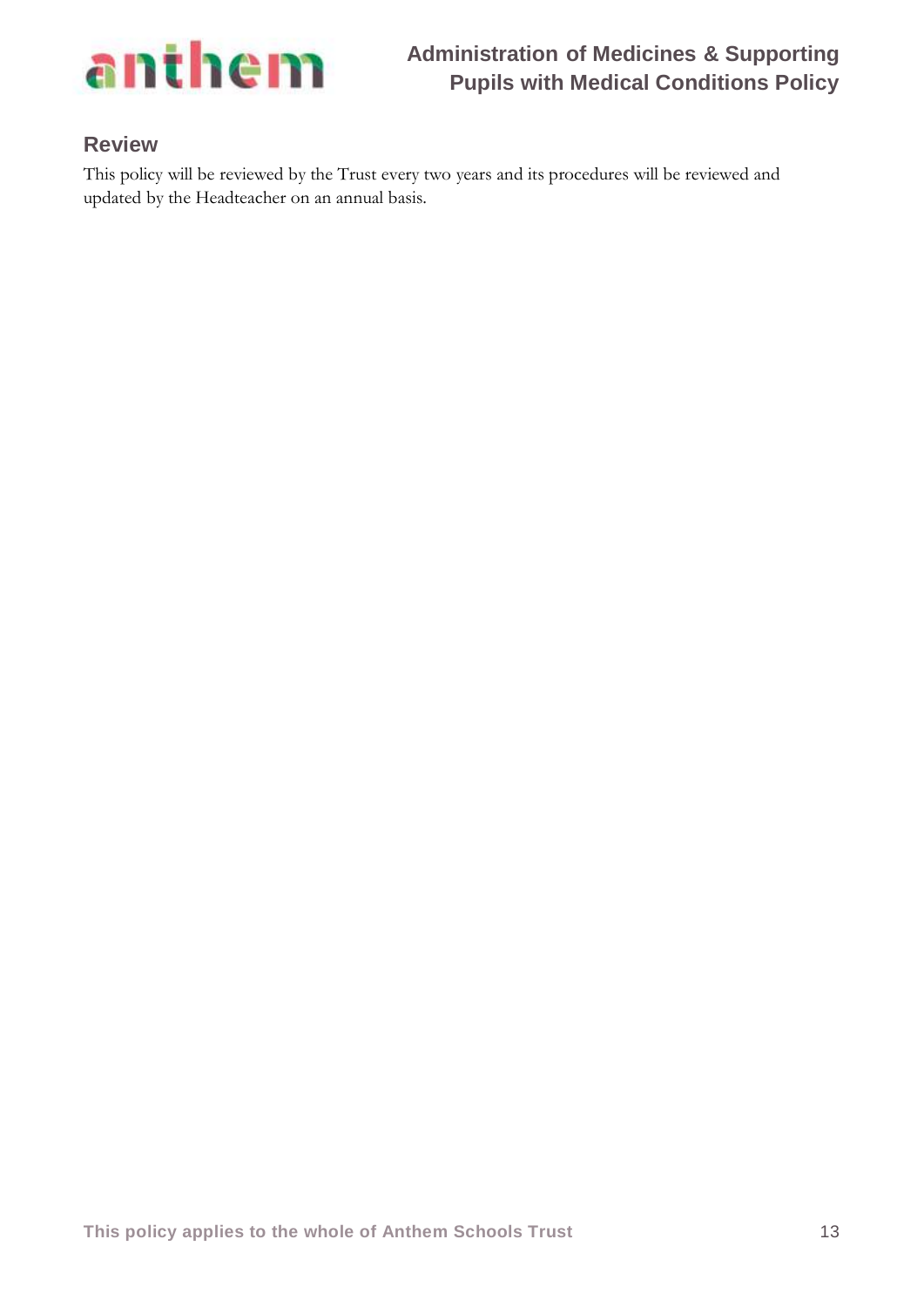

## **Review**

This policy will be reviewed by the Trust every two years and its procedures will be reviewed and updated by the Headteacher on an annual basis.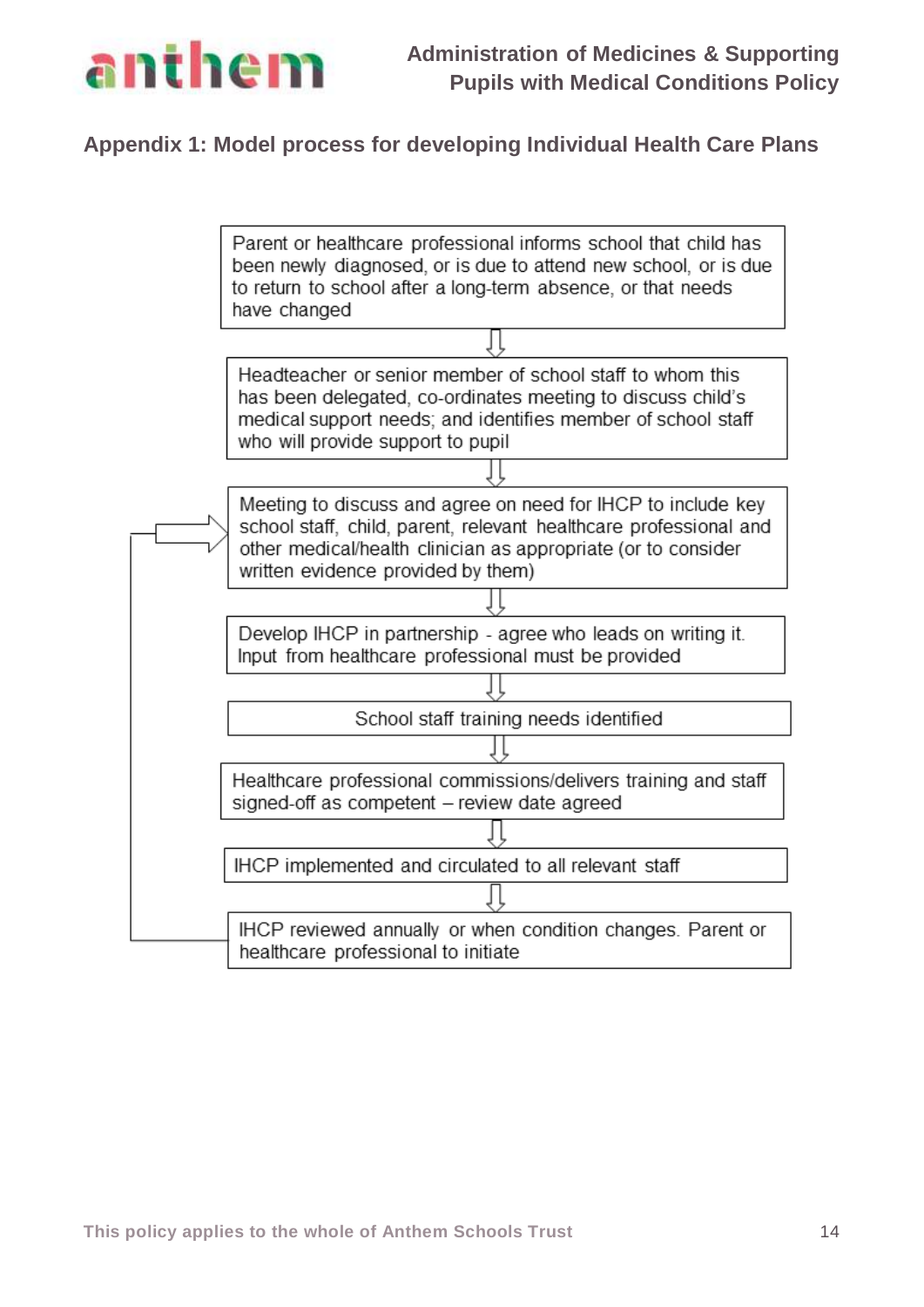

## **Appendix 1: Model process for developing Individual Health Care Plans**

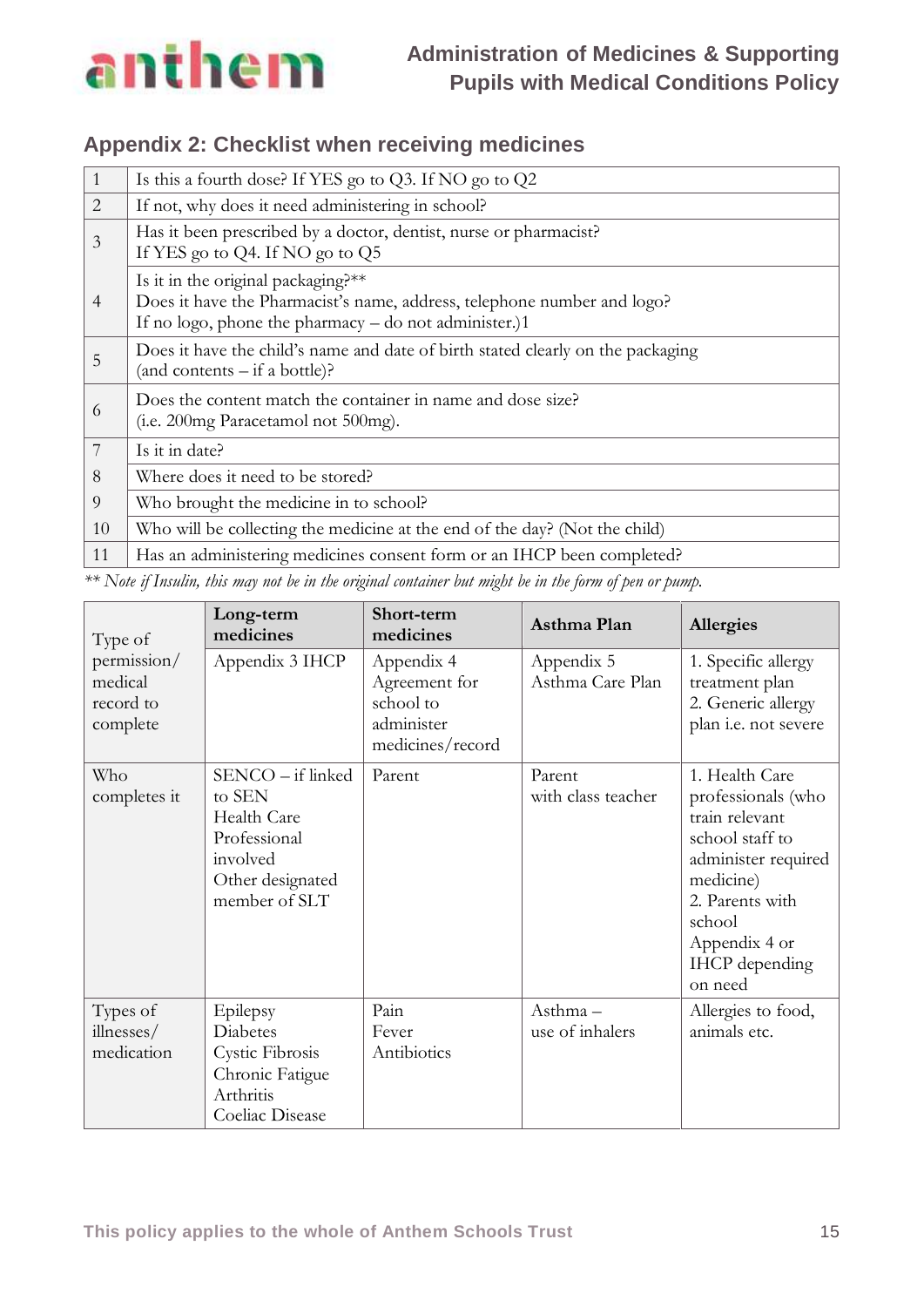## **Appendix 2: Checklist when receiving medicines**

| $\mathbf{1}$   | Is this a fourth dose? If YES go to Q3. If NO go to Q2                                                                                                                   |
|----------------|--------------------------------------------------------------------------------------------------------------------------------------------------------------------------|
| $\overline{2}$ | If not, why does it need administering in school?                                                                                                                        |
| 3              | Has it been prescribed by a doctor, dentist, nurse or pharmacist?<br>If YES go to Q4. If NO go to Q5                                                                     |
| $\overline{4}$ | Is it in the original packaging?**<br>Does it have the Pharmacist's name, address, telephone number and logo?<br>If no logo, phone the pharmacy $-$ do not administer.)1 |
| 5              | Does it have the child's name and date of birth stated clearly on the packaging<br>(and contents $-$ if a bottle)?                                                       |
| 6              | Does the content match the container in name and dose size?<br>(i.e. 200mg Paracetamol not 500mg).                                                                       |
| $\overline{7}$ | Is it in date?                                                                                                                                                           |
| 8              | Where does it need to be stored?                                                                                                                                         |
| 9              | Who brought the medicine in to school?                                                                                                                                   |
| 10             | Who will be collecting the medicine at the end of the day? (Not the child)                                                                                               |
| 11             | Has an administering medicines consent form or an IHCP been completed?                                                                                                   |

*\*\* Note if Insulin, this may not be in the original container but might be in the form of pen or pump.* 

| Type of                                         | Long-term<br>medicines                                                                                      | Short-term<br>medicines                                                    | Asthma Plan                    | <b>Allergies</b>                                                                                                                                                                                |
|-------------------------------------------------|-------------------------------------------------------------------------------------------------------------|----------------------------------------------------------------------------|--------------------------------|-------------------------------------------------------------------------------------------------------------------------------------------------------------------------------------------------|
| permission/<br>medical<br>record to<br>complete | Appendix 3 IHCP                                                                                             | Appendix 4<br>Agreement for<br>school to<br>administer<br>medicines/record | Appendix 5<br>Asthma Care Plan | 1. Specific allergy<br>treatment plan<br>2. Generic allergy<br>plan i.e. not severe                                                                                                             |
| Who<br>completes it                             | SENCO - if linked<br>to SEN<br>Health Care<br>Professional<br>involved<br>Other designated<br>member of SLT | Parent                                                                     | Parent<br>with class teacher   | 1. Health Care<br>professionals (who<br>train relevant<br>school staff to<br>administer required<br>medicine)<br>2. Parents with<br>school<br>Appendix 4 or<br><b>IHCP</b> depending<br>on need |
| Types of<br>illnesses/<br>medication            | Epilepsy<br><b>Diabetes</b><br>Cystic Fibrosis<br>Chronic Fatigue<br>Arthritis<br>Coeliac Disease           | Pain<br>Fever<br>Antibiotics                                               | Asthma-<br>use of inhalers     | Allergies to food,<br>animals etc.                                                                                                                                                              |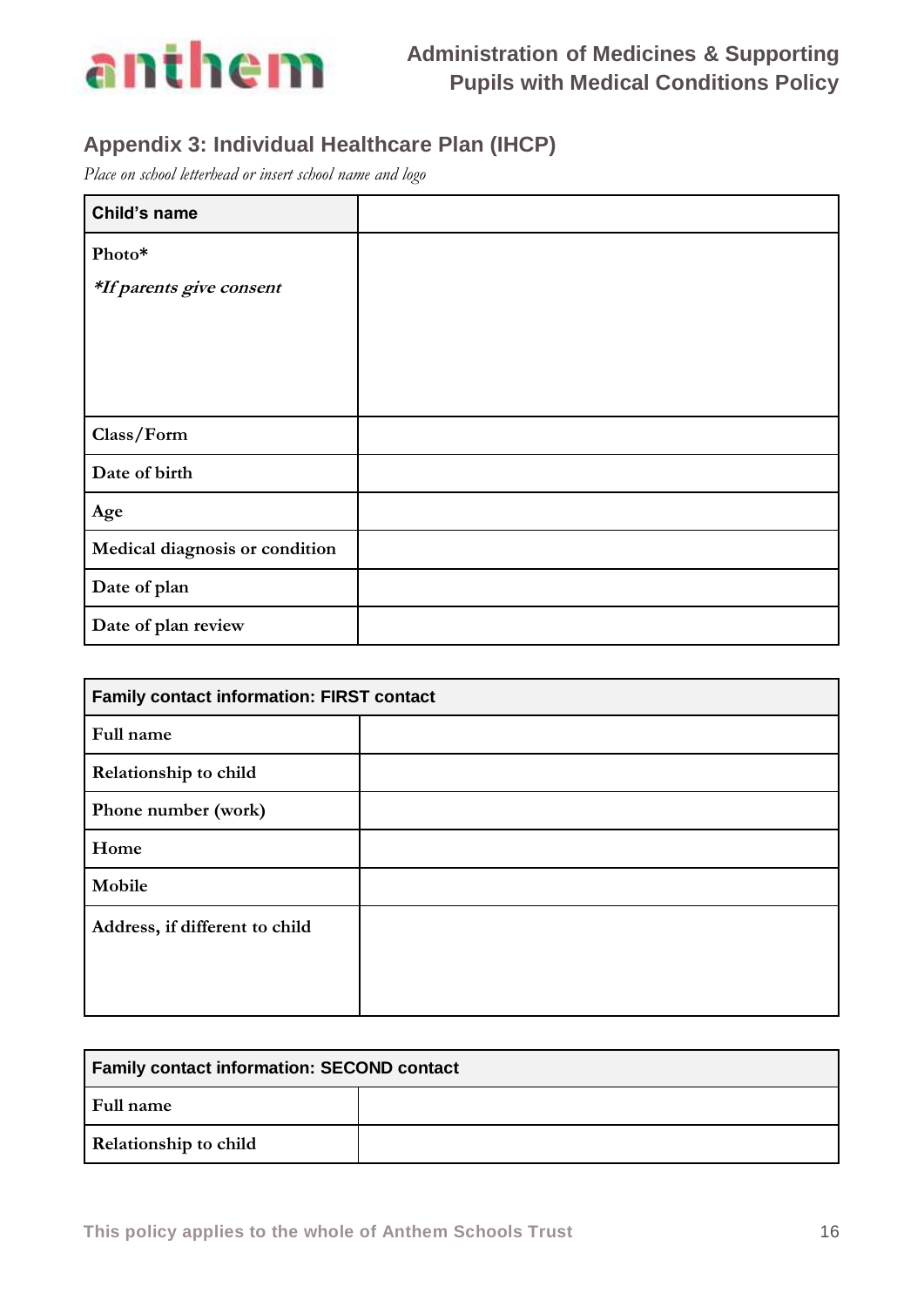

## **Appendix 3: Individual Healthcare Plan (IHCP)**

*Place on school letterhead or insert school name and logo*

| Child's name                   |  |
|--------------------------------|--|
| Photo*                         |  |
| *If parents give consent       |  |
|                                |  |
|                                |  |
|                                |  |
| Class/Form                     |  |
| Date of birth                  |  |
| Age                            |  |
| Medical diagnosis or condition |  |
| Date of plan                   |  |
| Date of plan review            |  |

| <b>Family contact information: FIRST contact</b> |  |  |
|--------------------------------------------------|--|--|
| Full name                                        |  |  |
| Relationship to child                            |  |  |
| Phone number (work)                              |  |  |
| Home                                             |  |  |
| Mobile                                           |  |  |
| Address, if different to child                   |  |  |
|                                                  |  |  |
|                                                  |  |  |

| Family contact information: SECOND contact |  |  |
|--------------------------------------------|--|--|
| Full name                                  |  |  |
| Relationship to child                      |  |  |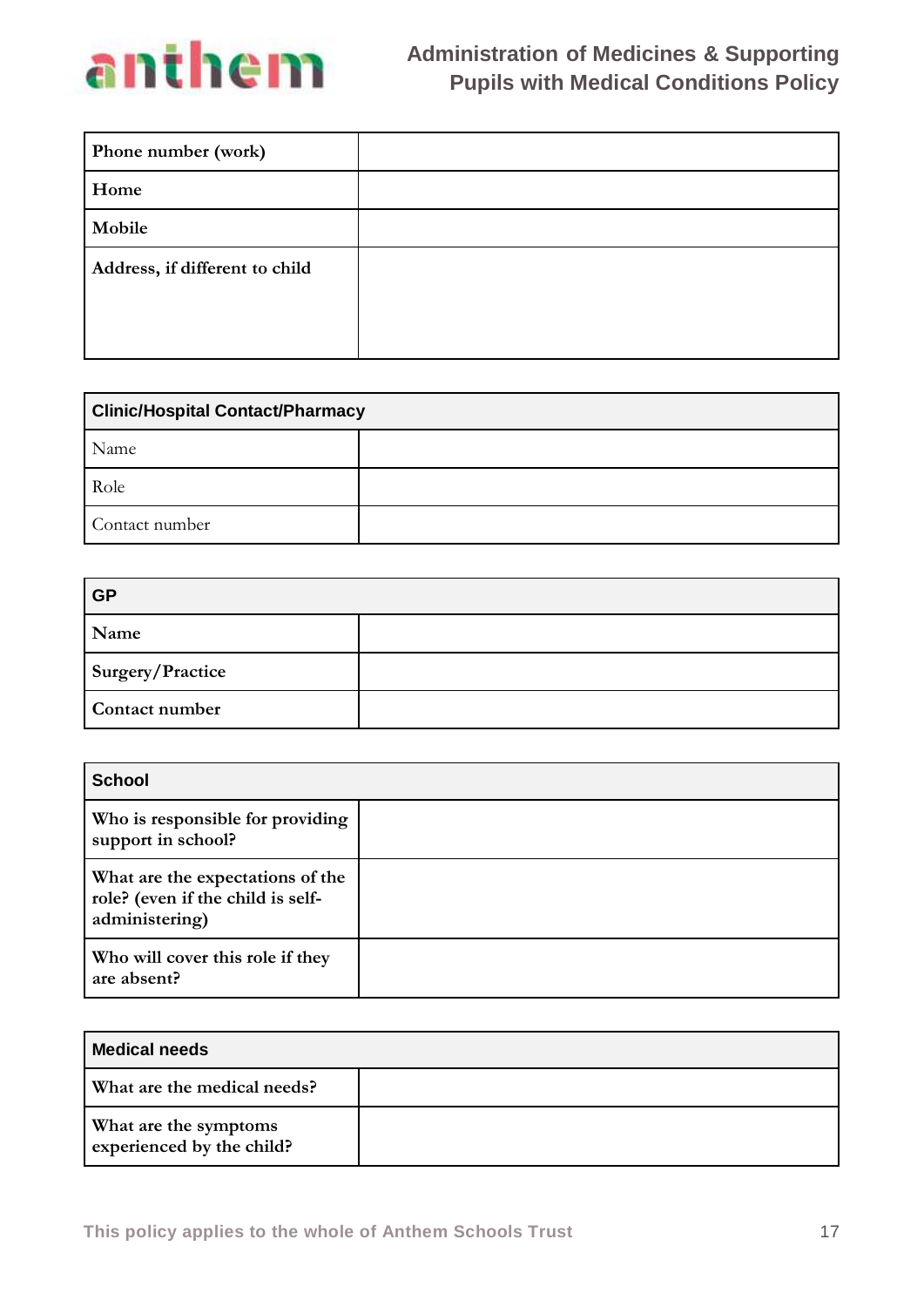

| Phone number (work)            |  |
|--------------------------------|--|
| Home                           |  |
| Mobile                         |  |
| Address, if different to child |  |

| <b>Clinic/Hospital Contact/Pharmacy</b> |  |  |
|-----------------------------------------|--|--|
| Name                                    |  |  |
| Role                                    |  |  |
| Contact number                          |  |  |

| <b>GP</b>             |  |  |
|-----------------------|--|--|
| Name                  |  |  |
| Surgery/Practice      |  |  |
| <b>Contact number</b> |  |  |

| <b>School</b>                                                                           |  |
|-----------------------------------------------------------------------------------------|--|
| Who is responsible for providing<br>support in school?                                  |  |
| What are the expectations of the<br>role? (even if the child is self-<br>administering) |  |
| Who will cover this role if they<br>are absent?                                         |  |

| <b>Medical needs</b>                               |  |  |
|----------------------------------------------------|--|--|
| What are the medical needs?                        |  |  |
| What are the symptoms<br>experienced by the child? |  |  |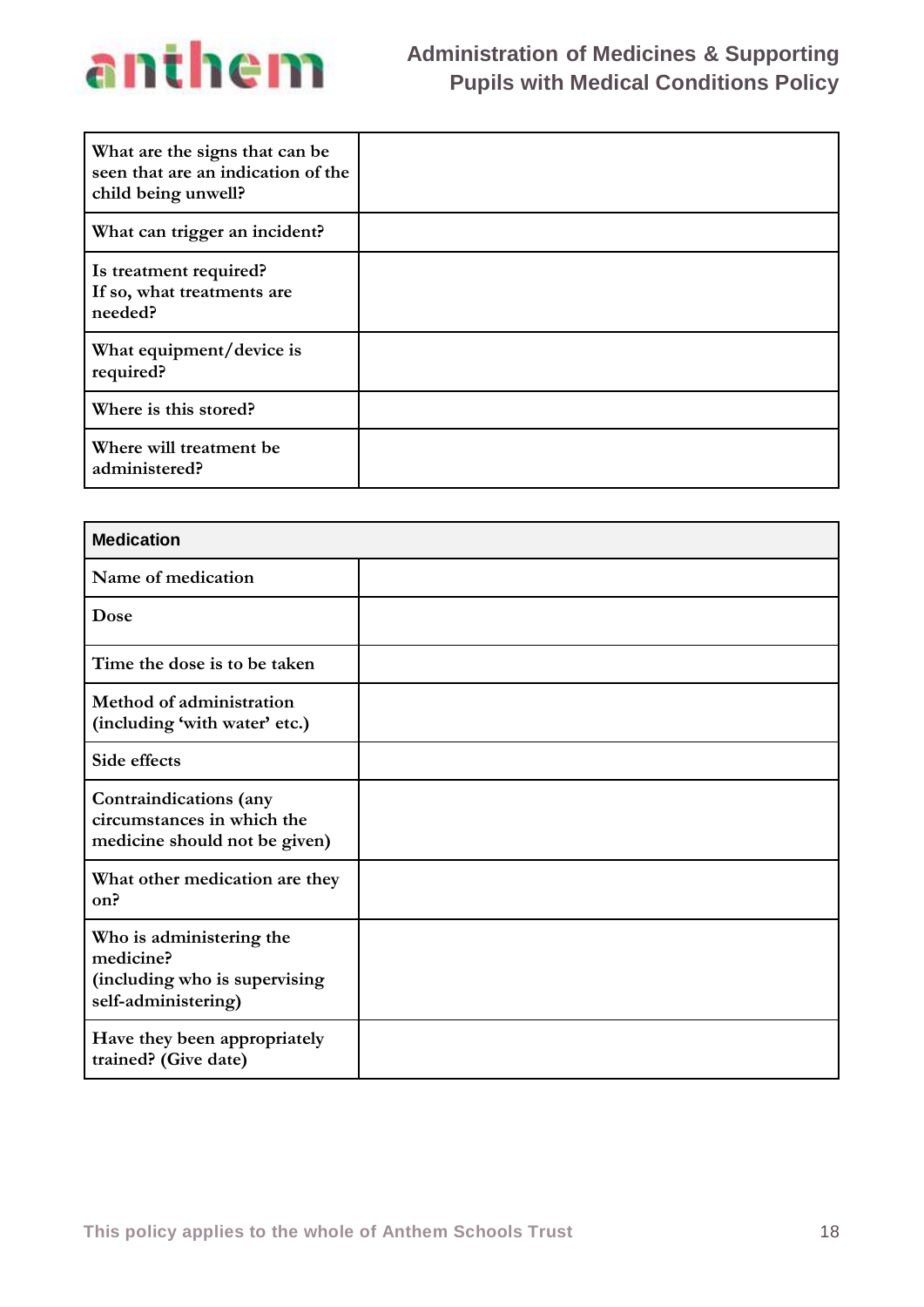

| What are the signs that can be<br>seen that are an indication of the<br>child being unwell? |  |
|---------------------------------------------------------------------------------------------|--|
| What can trigger an incident?                                                               |  |
| Is treatment required?<br>If so, what treatments are<br>needed?                             |  |
| What equipment/device is<br>required?                                                       |  |
| Where is this stored?                                                                       |  |
| Where will treatment be<br>administered?                                                    |  |

| <b>Medication</b>                                                                             |  |
|-----------------------------------------------------------------------------------------------|--|
| Name of medication                                                                            |  |
| Dose                                                                                          |  |
| Time the dose is to be taken                                                                  |  |
| Method of administration<br>(including 'with water' etc.)                                     |  |
| Side effects                                                                                  |  |
| Contraindications (any<br>circumstances in which the<br>medicine should not be given)         |  |
| What other medication are they<br>on?                                                         |  |
| Who is administering the<br>medicine?<br>(including who is supervising<br>self-administering) |  |
| Have they been appropriately<br>trained? (Give date)                                          |  |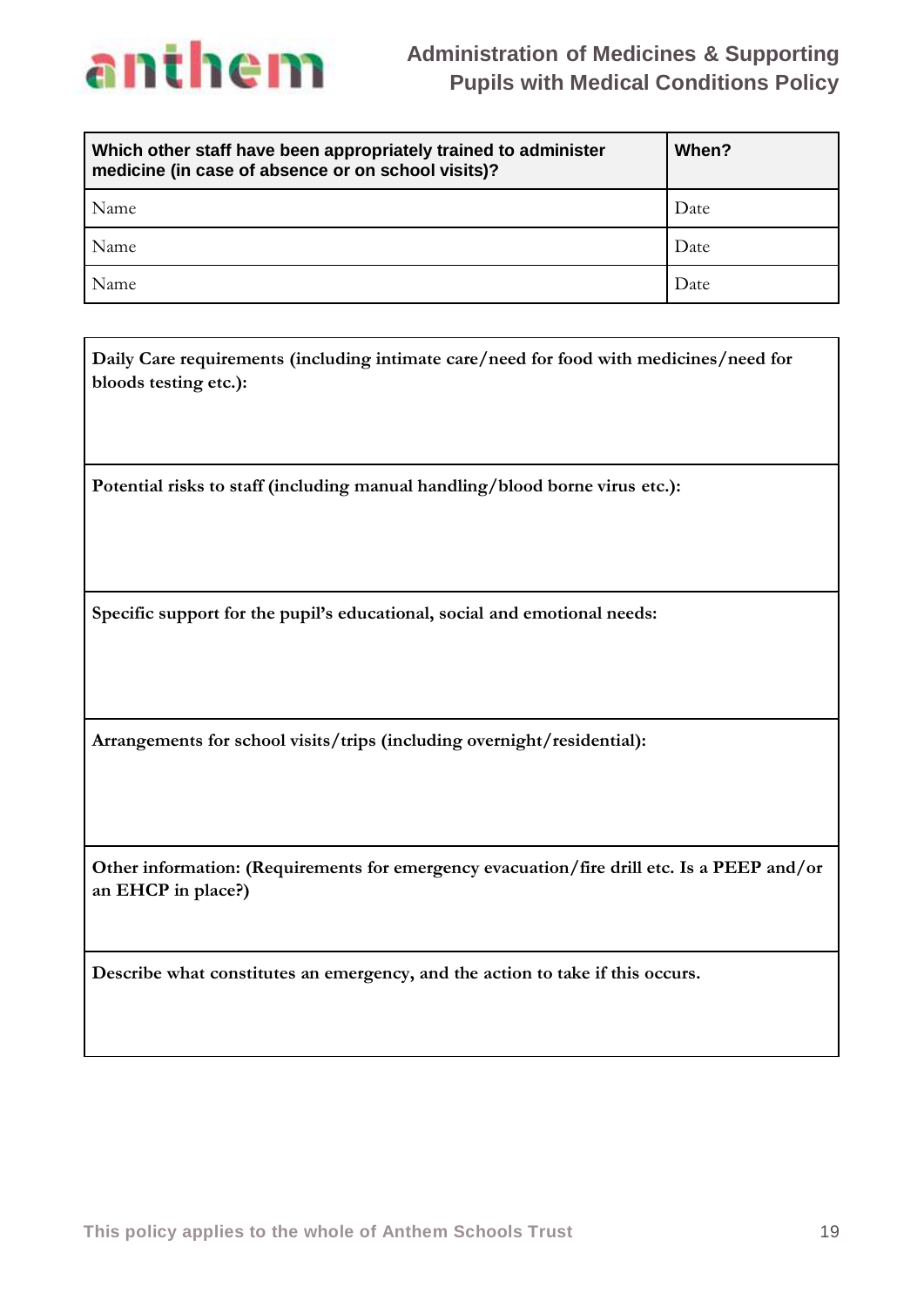

| Which other staff have been appropriately trained to administer<br>medicine (in case of absence or on school visits)? | When? |
|-----------------------------------------------------------------------------------------------------------------------|-------|
| Name                                                                                                                  | Date  |
| Name                                                                                                                  | Date  |
| Name                                                                                                                  | Date  |

**Daily Care requirements (including intimate care/need for food with medicines/need for bloods testing etc.):**

**Potential risks to staff (including manual handling/blood borne virus etc.):**

**Specific support for the pupil's educational, social and emotional needs:**

**Arrangements for school visits/trips (including overnight/residential):**

**Other information: (Requirements for emergency evacuation/fire drill etc. Is a PEEP and/or an EHCP in place?)**

**Describe what constitutes an emergency, and the action to take if this occurs.**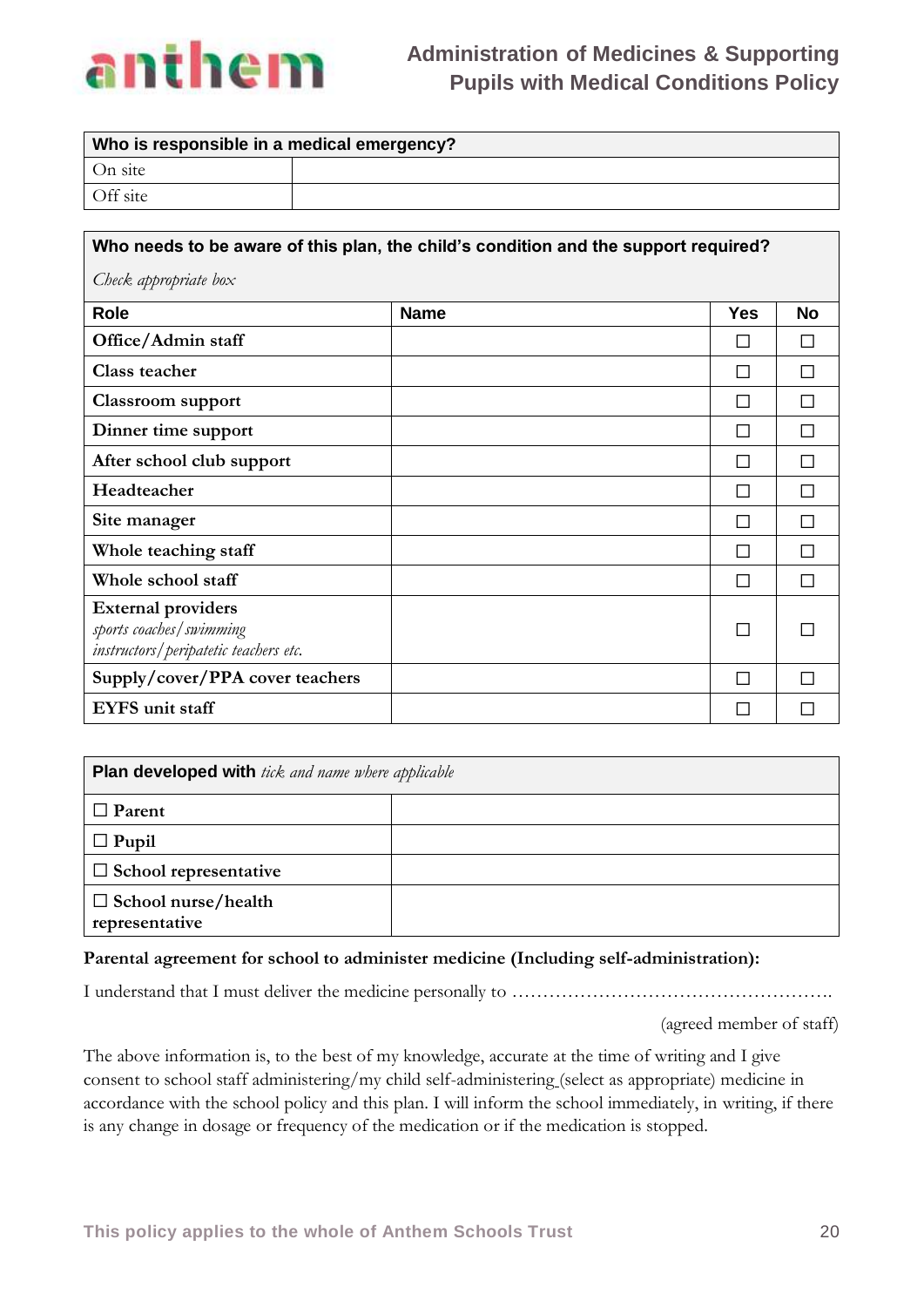

| Who is responsible in a medical emergency? |  |  |
|--------------------------------------------|--|--|
| On site                                    |  |  |
| Off site                                   |  |  |

#### **Who needs to be aware of this plan, the child's condition and the support required?**

*Check appropriate box*

| <b>Role</b>                                                                                   | <b>Name</b> | <b>Yes</b> | <b>No</b> |
|-----------------------------------------------------------------------------------------------|-------------|------------|-----------|
| Office/Admin staff                                                                            |             |            |           |
| Class teacher                                                                                 |             |            |           |
| <b>Classroom</b> support                                                                      |             |            |           |
| Dinner time support                                                                           |             |            |           |
| After school club support                                                                     |             | $\Box$     |           |
| Headteacher                                                                                   |             |            |           |
| Site manager                                                                                  |             |            |           |
| Whole teaching staff                                                                          |             |            |           |
| Whole school staff                                                                            |             |            |           |
| <b>External providers</b><br>sports coaches/swimming<br>instructors/peripatetic teachers etc. |             |            |           |
| Supply/cover/PPA cover teachers                                                               |             | □          |           |
| <b>EYFS</b> unit staff                                                                        |             |            |           |

| <b>Plan developed with</b> tick and name where applicable |  |  |
|-----------------------------------------------------------|--|--|
| $\Box$ Parent                                             |  |  |
| $\Box$ Pupil                                              |  |  |
| $\Box$ School representative                              |  |  |
| $\Box$ School nurse/health<br>representative              |  |  |

#### **Parental agreement for school to administer medicine (Including self-administration):**

I understand that I must deliver the medicine personally to …………………………………………….

(agreed member of staff)

The above information is, to the best of my knowledge, accurate at the time of writing and I give consent to school staff administering/my child self-administering (select as appropriate) medicine in accordance with the school policy and this plan. I will inform the school immediately, in writing, if there is any change in dosage or frequency of the medication or if the medication is stopped.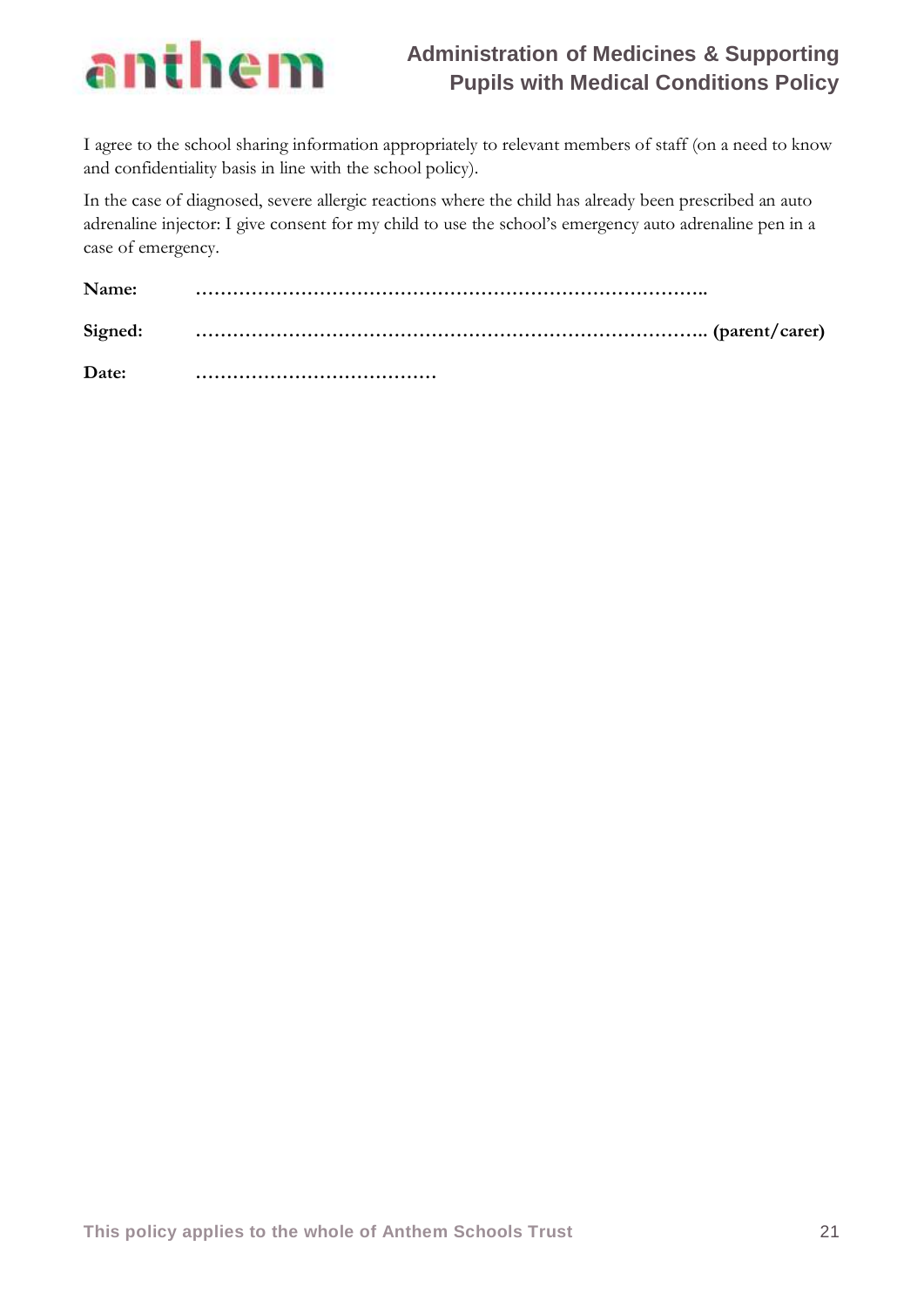## **Administration of Medicines & Supporting Pupils with Medical Conditions Policy**

I agree to the school sharing information appropriately to relevant members of staff (on a need to know and confidentiality basis in line with the school policy).

In the case of diagnosed, severe allergic reactions where the child has already been prescribed an auto adrenaline injector: I give consent for my child to use the school's emergency auto adrenaline pen in a case of emergency.

| Name:   |  |
|---------|--|
| Signed: |  |
| Date:   |  |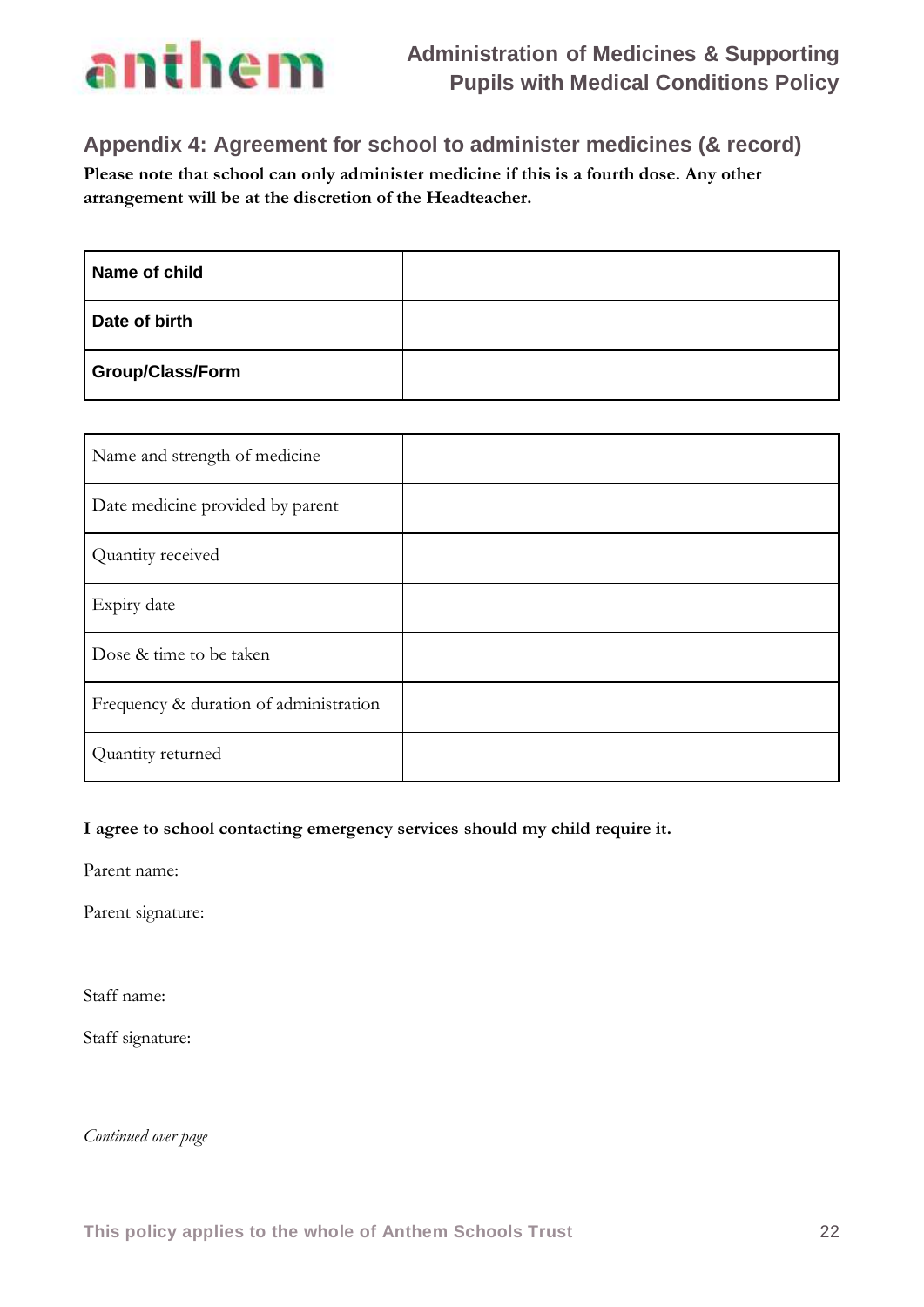

**Appendix 4: Agreement for school to administer medicines (& record)**

**Please note that school can only administer medicine if this is a fourth dose. Any other arrangement will be at the discretion of the Headteacher.**

| Name of child    |  |
|------------------|--|
| Date of birth    |  |
| Group/Class/Form |  |

| Name and strength of medicine          |  |
|----------------------------------------|--|
| Date medicine provided by parent       |  |
| Quantity received                      |  |
| Expiry date                            |  |
| Dose & time to be taken                |  |
| Frequency & duration of administration |  |
| Quantity returned                      |  |

**I agree to school contacting emergency services should my child require it.** 

Parent name:

Parent signature:

Staff name:

Staff signature:

*Continued over page*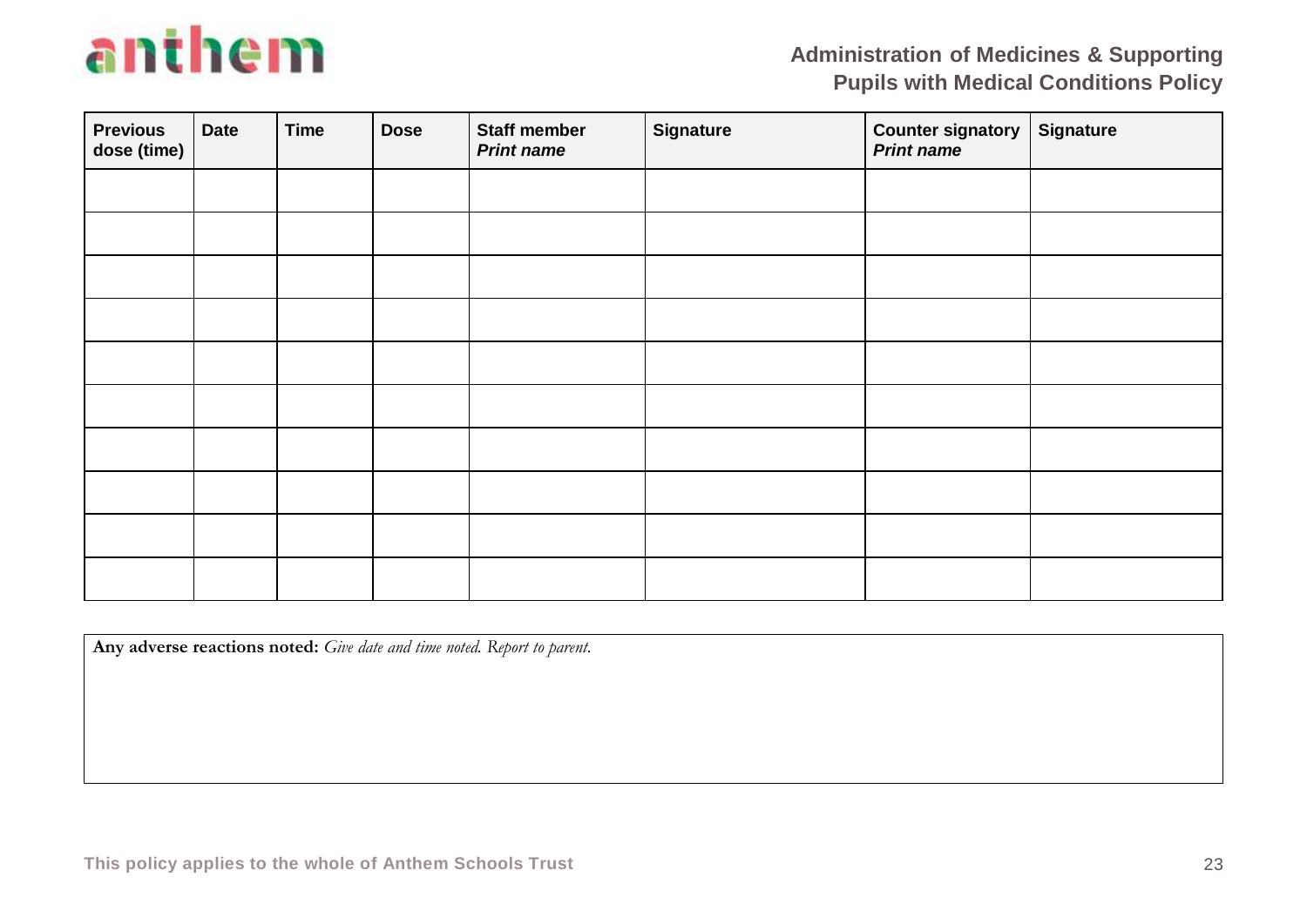

| <b>Previous</b><br>dose (time) | <b>Date</b> | <b>Time</b> | <b>Dose</b> | <b>Staff member</b><br><b>Print name</b> | <b>Signature</b> | <b>Counter signatory</b><br><b>Print name</b> | <b>Signature</b> |
|--------------------------------|-------------|-------------|-------------|------------------------------------------|------------------|-----------------------------------------------|------------------|
|                                |             |             |             |                                          |                  |                                               |                  |
|                                |             |             |             |                                          |                  |                                               |                  |
|                                |             |             |             |                                          |                  |                                               |                  |
|                                |             |             |             |                                          |                  |                                               |                  |
|                                |             |             |             |                                          |                  |                                               |                  |
|                                |             |             |             |                                          |                  |                                               |                  |
|                                |             |             |             |                                          |                  |                                               |                  |
|                                |             |             |             |                                          |                  |                                               |                  |
|                                |             |             |             |                                          |                  |                                               |                  |
|                                |             |             |             |                                          |                  |                                               |                  |

**Any adverse reactions noted:** *Give date and time noted. Report to parent.*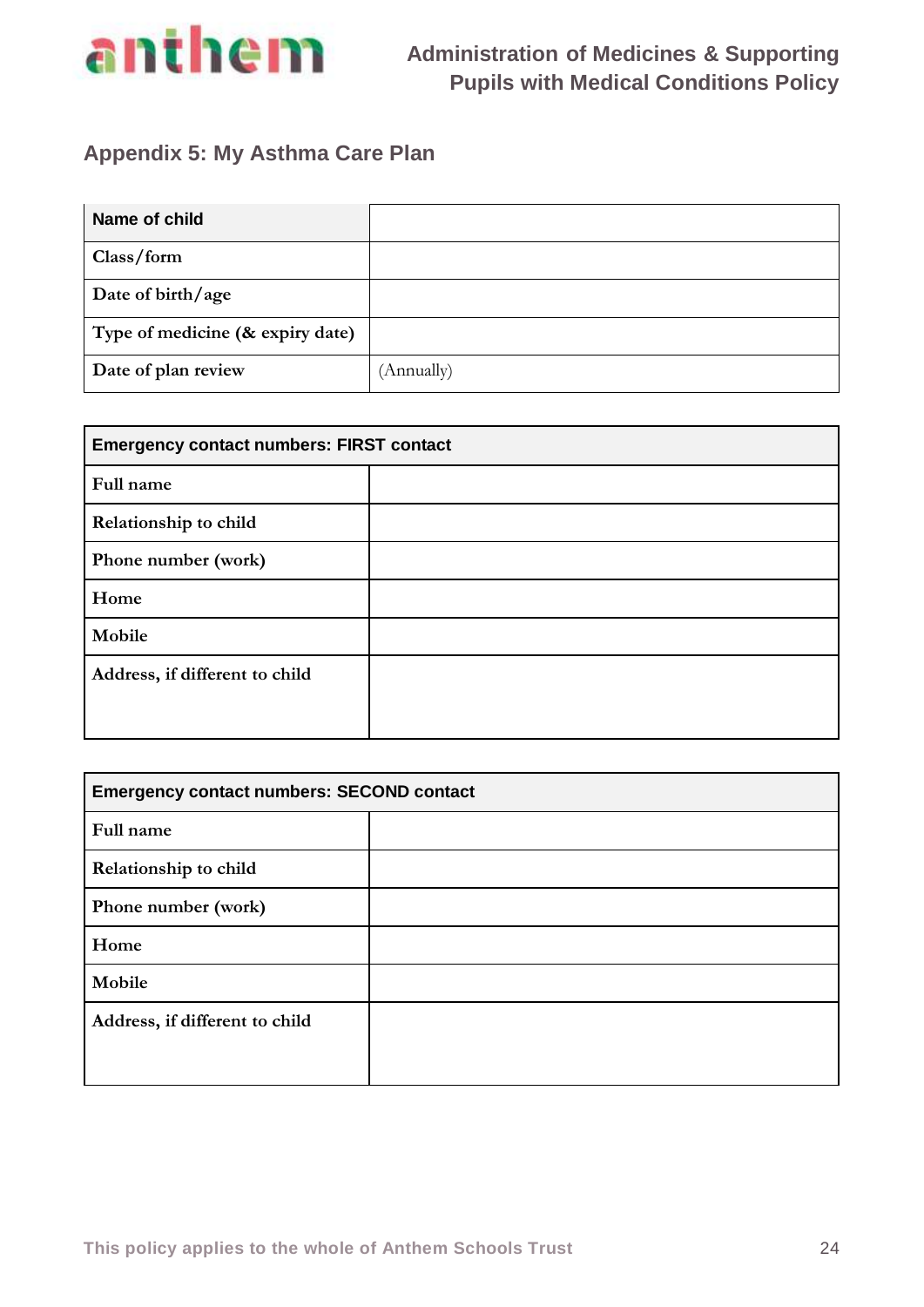

# **Appendix 5: My Asthma Care Plan**

| Name of child                    |            |
|----------------------------------|------------|
| Class/form                       |            |
| Date of birth/age                |            |
| Type of medicine (& expiry date) |            |
| Date of plan review              | (Annually) |

| <b>Emergency contact numbers: FIRST contact</b> |  |  |
|-------------------------------------------------|--|--|
| Full name                                       |  |  |
| Relationship to child                           |  |  |
| Phone number (work)                             |  |  |
| Home                                            |  |  |
| Mobile                                          |  |  |
| Address, if different to child                  |  |  |
|                                                 |  |  |

| <b>Emergency contact numbers: SECOND contact</b> |  |  |
|--------------------------------------------------|--|--|
| Full name                                        |  |  |
| Relationship to child                            |  |  |
| Phone number (work)                              |  |  |
| Home                                             |  |  |
| Mobile                                           |  |  |
| Address, if different to child                   |  |  |
|                                                  |  |  |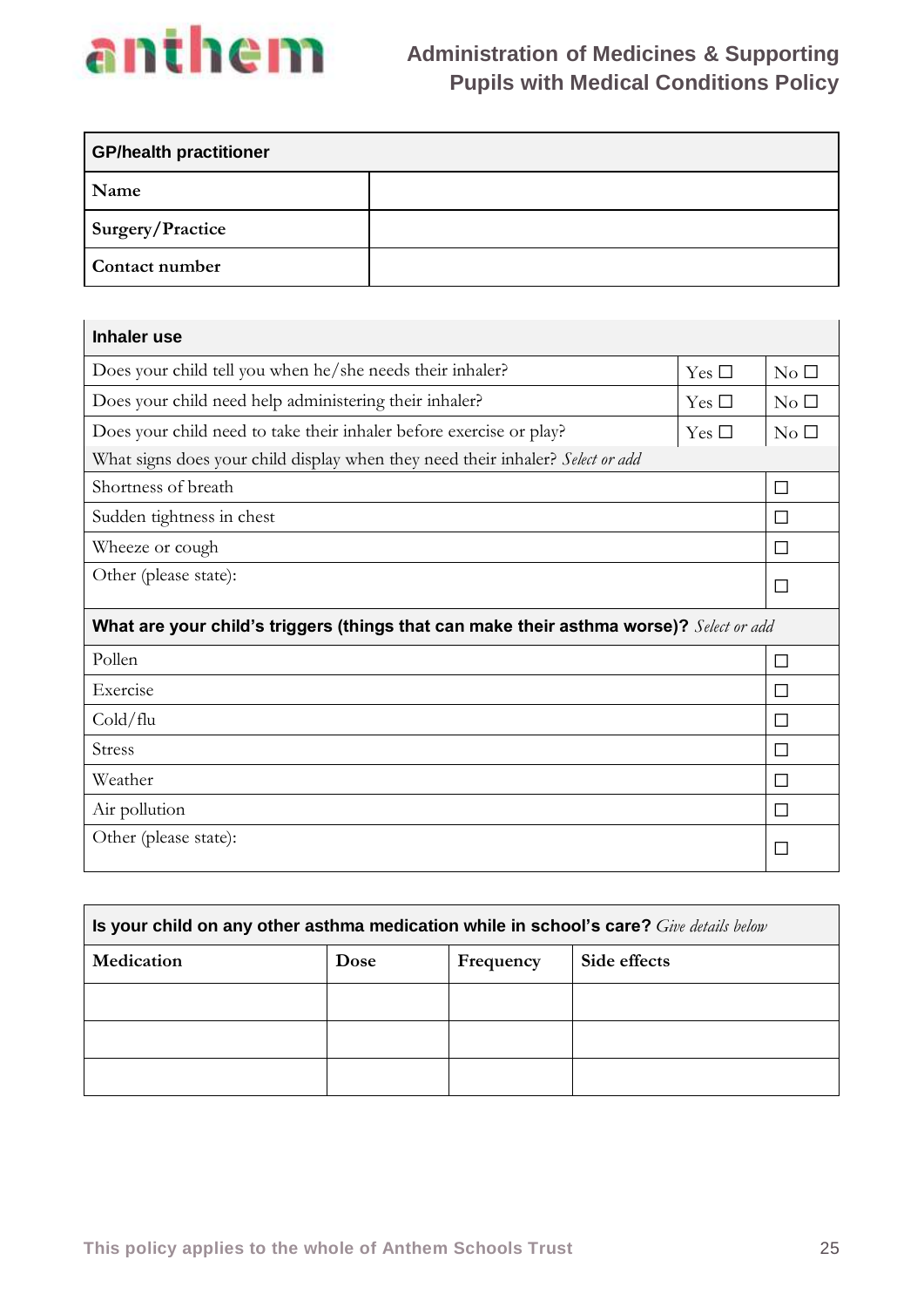

| <b>GP/health practitioner</b> |  |  |
|-------------------------------|--|--|
| Name                          |  |  |
| Surgery/Practice              |  |  |
| <b>Contact number</b>         |  |  |

| Inhaler use                                                                                    |               |                 |  |
|------------------------------------------------------------------------------------------------|---------------|-----------------|--|
| Does your child tell you when he/she needs their inhaler?<br>Yes $\square$                     |               |                 |  |
| Does your child need help administering their inhaler?                                         | Yes $\Box$    | No <sub>1</sub> |  |
| Does your child need to take their inhaler before exercise or play?                            | Yes $\square$ | No <sub>1</sub> |  |
| What signs does your child display when they need their inhaler? Select or add                 |               |                 |  |
| Shortness of breath                                                                            |               | П               |  |
| Sudden tightness in chest                                                                      |               | $\Box$          |  |
| Wheeze or cough                                                                                |               | П               |  |
| Other (please state):                                                                          |               |                 |  |
| <b>What are your child's triggers (things that can make their asthma worse)?</b> Select or add |               |                 |  |
| Pollen                                                                                         |               | П               |  |
| Exercise                                                                                       |               | П               |  |
| Cold/flu                                                                                       |               |                 |  |
| <b>Stress</b>                                                                                  |               | П               |  |
| Weather                                                                                        |               | П               |  |
| Air pollution                                                                                  |               |                 |  |
| Other (please state):                                                                          |               |                 |  |

| Is your child on any other asthma medication while in school's care? Give details below |             |           |              |  |
|-----------------------------------------------------------------------------------------|-------------|-----------|--------------|--|
| Medication                                                                              | <b>Dose</b> | Frequency | Side effects |  |
|                                                                                         |             |           |              |  |
|                                                                                         |             |           |              |  |
|                                                                                         |             |           |              |  |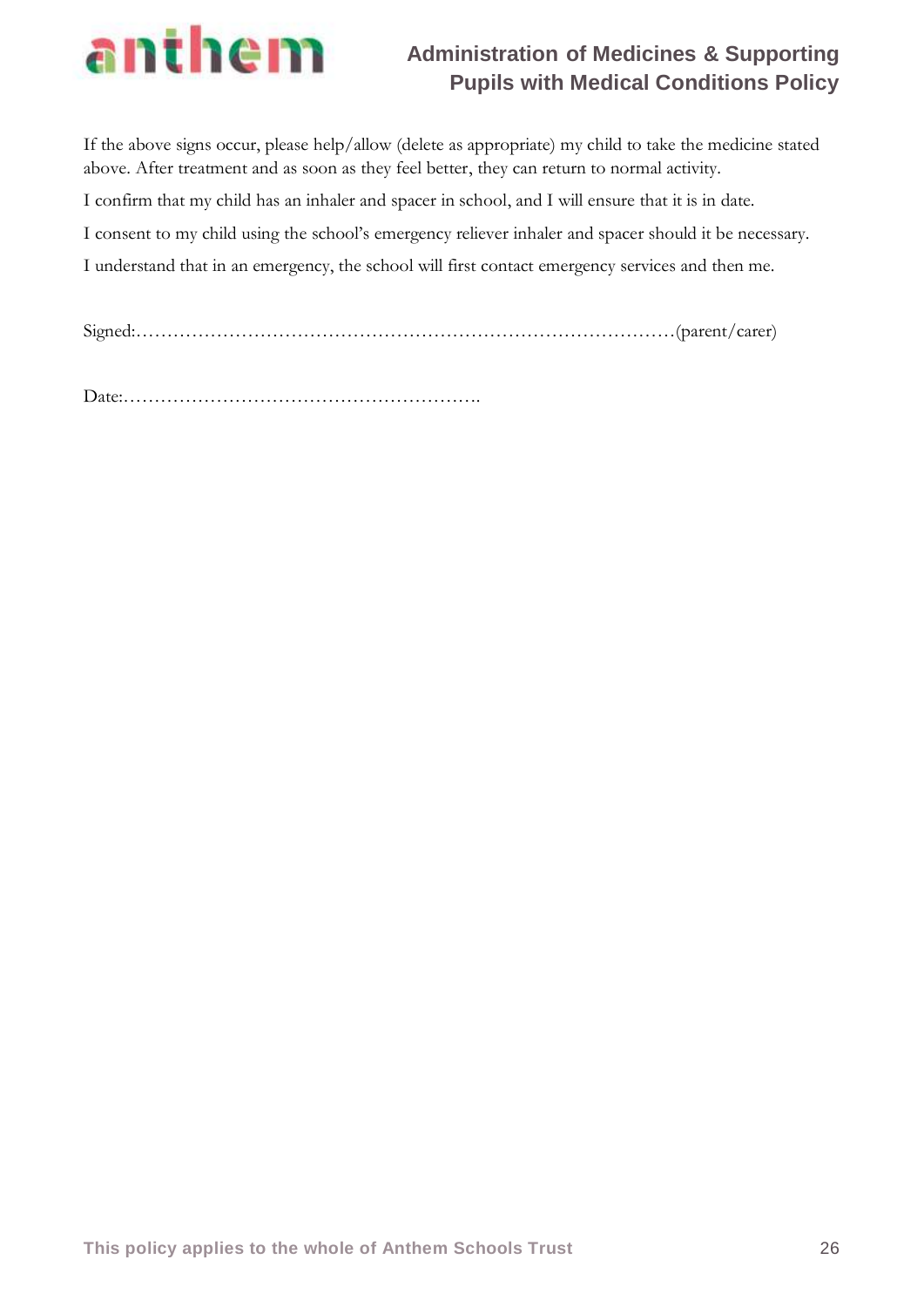

If the above signs occur, please help/allow (delete as appropriate) my child to take the medicine stated above. After treatment and as soon as they feel better, they can return to normal activity. I confirm that my child has an inhaler and spacer in school, and I will ensure that it is in date. I consent to my child using the school's emergency reliever inhaler and spacer should it be necessary. I understand that in an emergency, the school will first contact emergency services and then me.

Signed:……………………………………………………………………………(parent/carer)

Date:………………………………………………….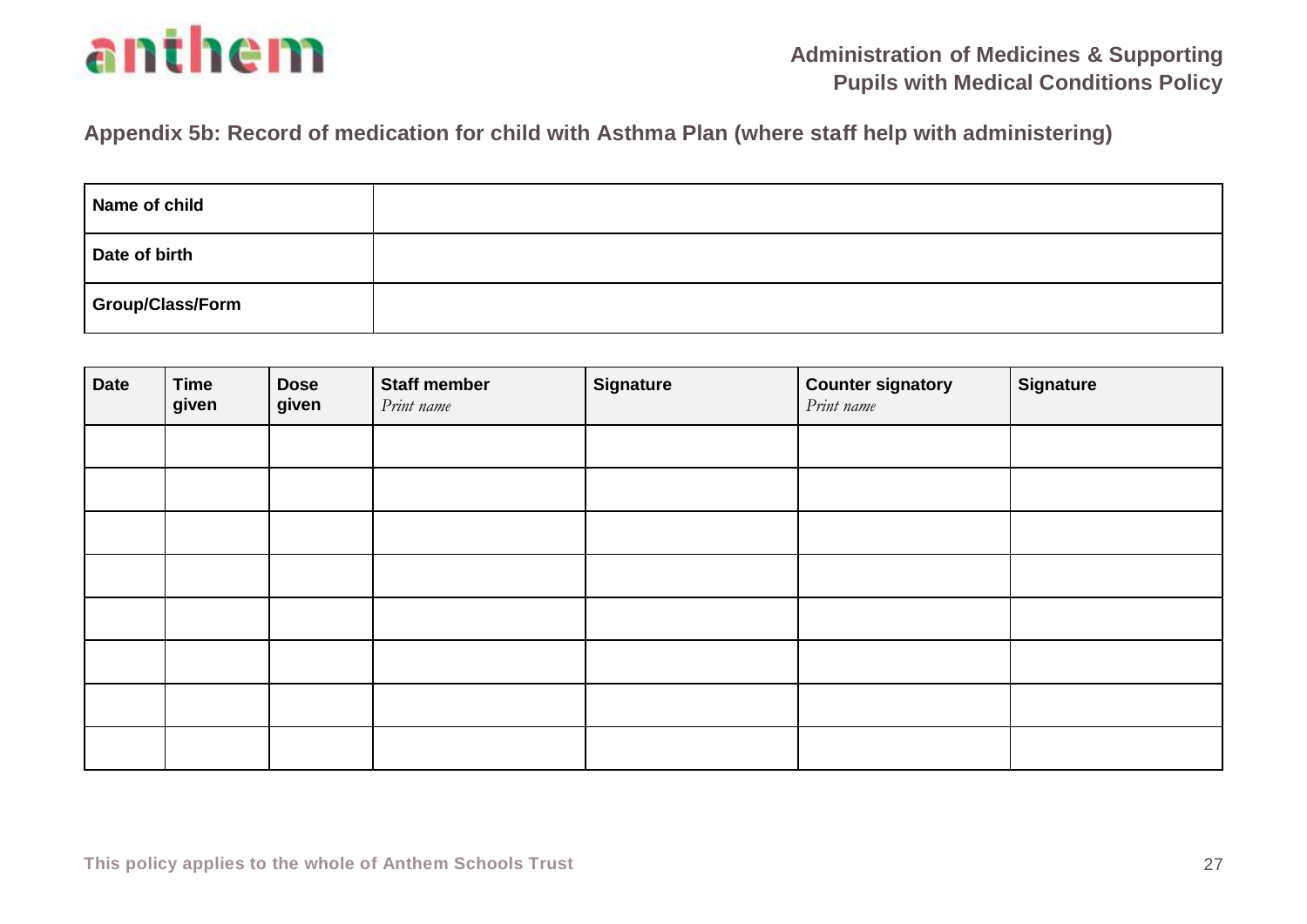

**Appendix 5b: Record of medication for child with Asthma Plan (where staff help with administering)**

| Name of child    |  |
|------------------|--|
| Date of birth    |  |
| Group/Class/Form |  |

| <b>Date</b> | <b>Time</b><br>given | <b>Dose</b><br>given | <b>Staff member</b><br>Print name | <b>Signature</b> | <b>Counter signatory</b><br>Print name | <b>Signature</b> |
|-------------|----------------------|----------------------|-----------------------------------|------------------|----------------------------------------|------------------|
|             |                      |                      |                                   |                  |                                        |                  |
|             |                      |                      |                                   |                  |                                        |                  |
|             |                      |                      |                                   |                  |                                        |                  |
|             |                      |                      |                                   |                  |                                        |                  |
|             |                      |                      |                                   |                  |                                        |                  |
|             |                      |                      |                                   |                  |                                        |                  |
|             |                      |                      |                                   |                  |                                        |                  |
|             |                      |                      |                                   |                  |                                        |                  |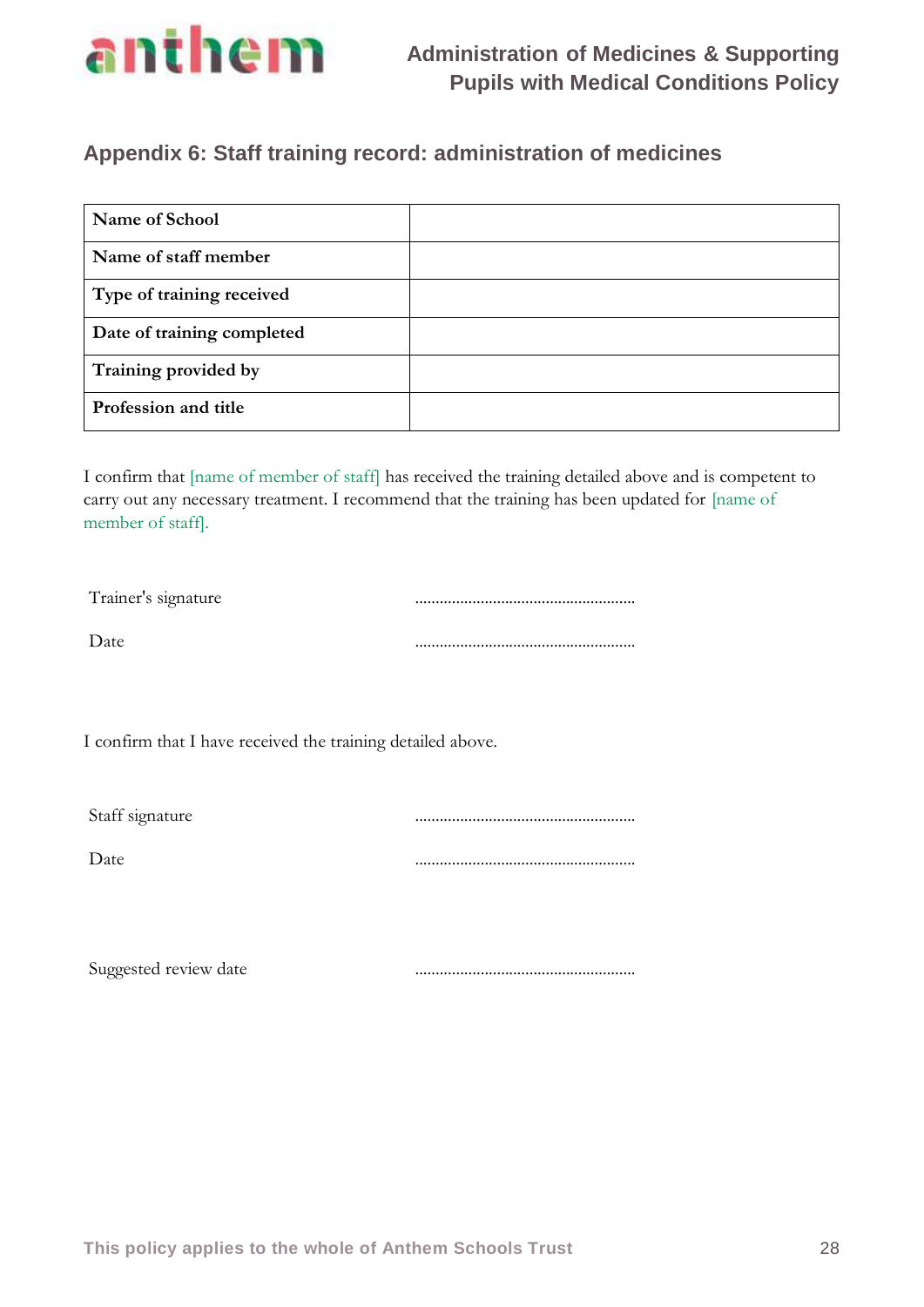

## **Appendix 6: Staff training record: administration of medicines**

| Name of School             |  |
|----------------------------|--|
| Name of staff member       |  |
| Type of training received  |  |
| Date of training completed |  |
| Training provided by       |  |
| Profession and title       |  |

I confirm that [name of member of staff] has received the training detailed above and is competent to carry out any necessary treatment. I recommend that the training has been updated for [name of member of staff].

| Trainer's signature |  |
|---------------------|--|
| Date                |  |
|                     |  |

I confirm that I have received the training detailed above.

Staff signature ......................................................

Date ......................................................

Suggested review date ......................................................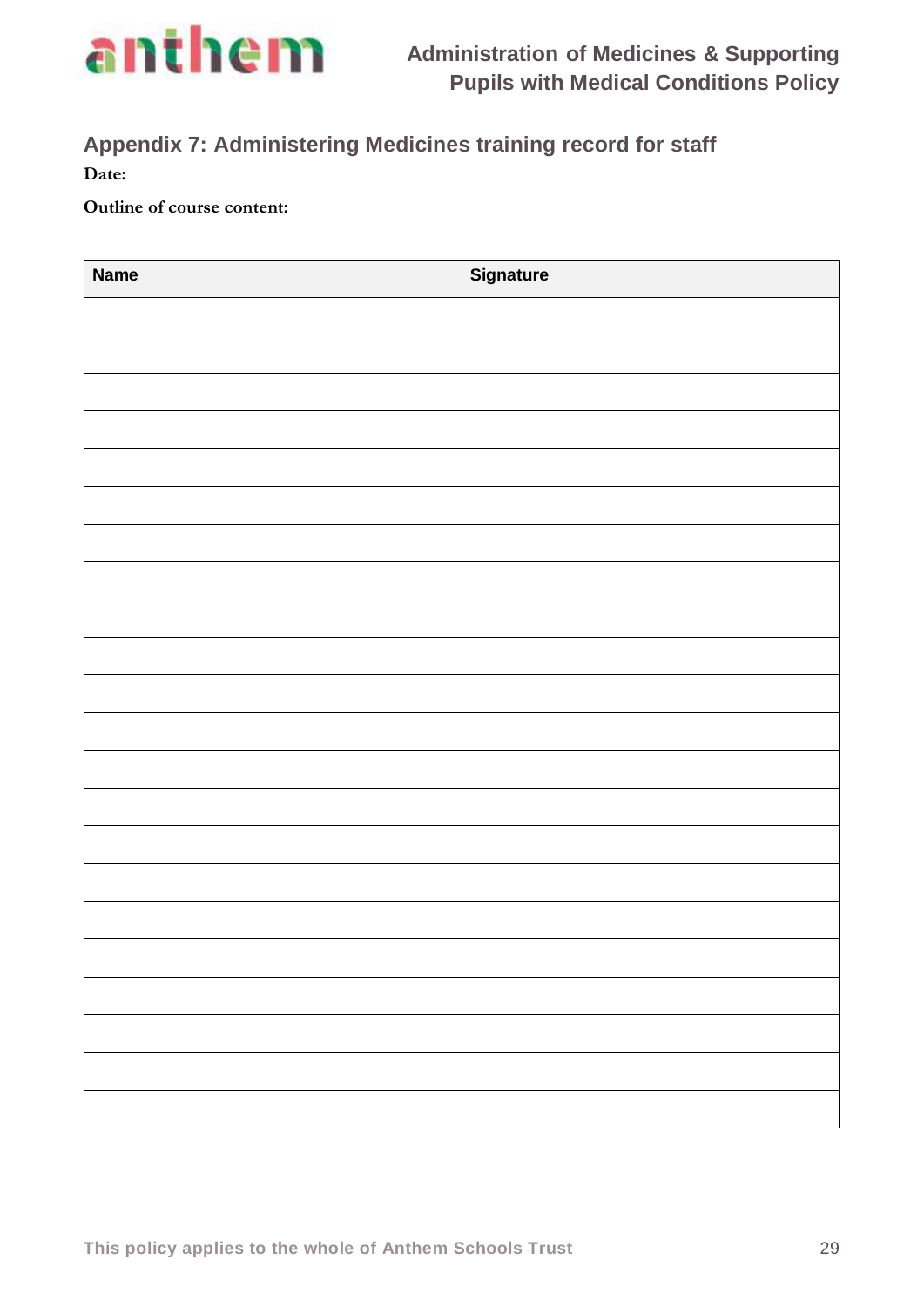

**Appendix 7: Administering Medicines training record for staff**

**Date:**

**Outline of course content:**

| <b>Name</b> | <b>Signature</b> |
|-------------|------------------|
|             |                  |
|             |                  |
|             |                  |
|             |                  |
|             |                  |
|             |                  |
|             |                  |
|             |                  |
|             |                  |
|             |                  |
|             |                  |
|             |                  |
|             |                  |
|             |                  |
|             |                  |
|             |                  |
|             |                  |
|             |                  |
|             |                  |
|             |                  |
|             |                  |
|             |                  |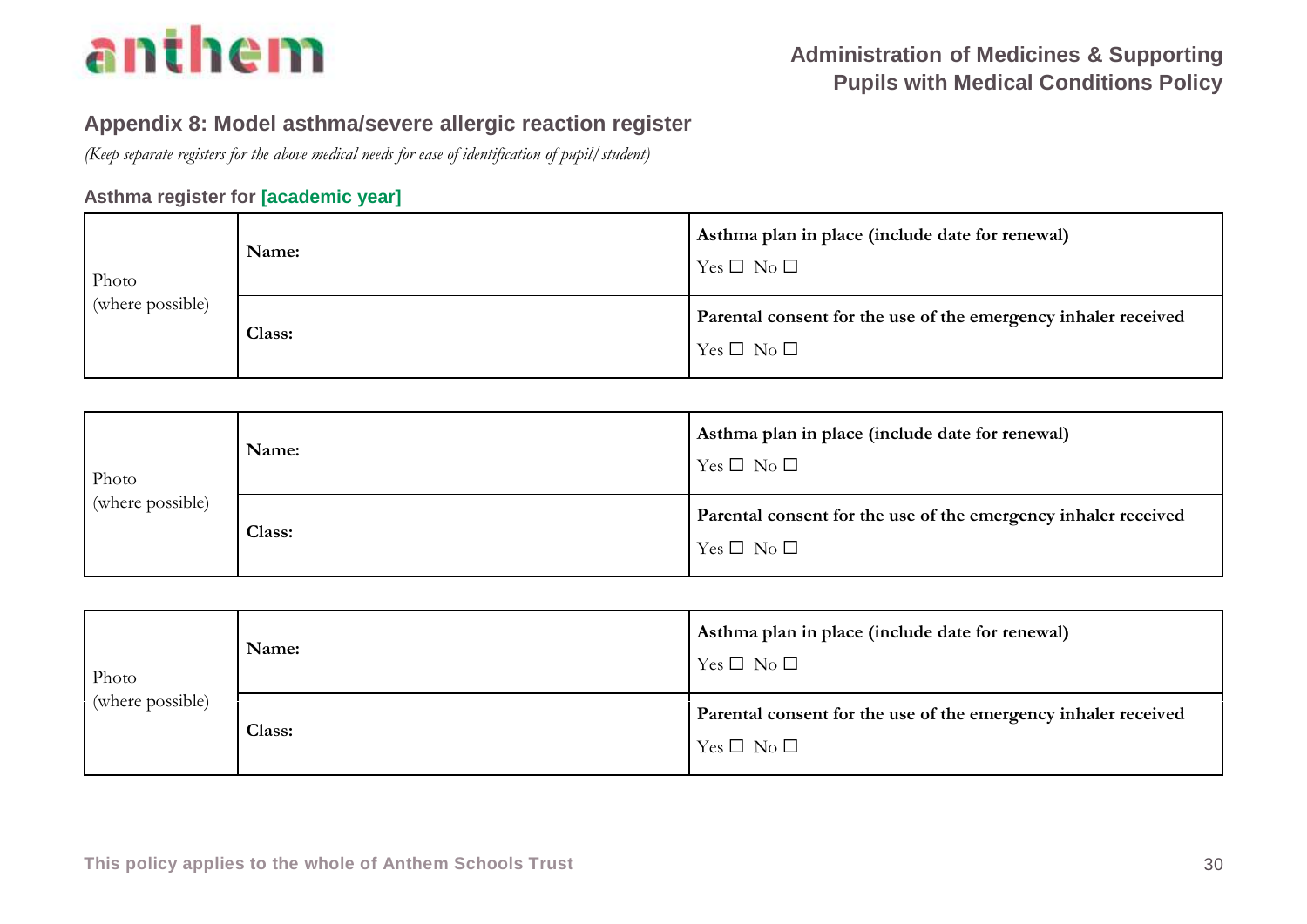## **Appendix 8: Model asthma/severe allergic reaction register**

*(Keep separate registers for the above medical needs for ease of identification of pupil/student)*

### **Asthma register for [academic year]**

| Photo            | Name:  | Asthma plan in place (include date for renewal)<br>$Yes \Box No \Box$                |
|------------------|--------|--------------------------------------------------------------------------------------|
| (where possible) | Class: | Parental consent for the use of the emergency inhaler received<br>$Yes \Box No \Box$ |

| Photo<br>(where possible) | Name:  | Asthma plan in place (include date for renewal)<br>$Yes \Box No \Box$                |
|---------------------------|--------|--------------------------------------------------------------------------------------|
|                           | Class: | Parental consent for the use of the emergency inhaler received<br>$Yes \Box No \Box$ |

| Photo<br>(where possible) | Name:  | Asthma plan in place (include date for renewal)<br>$Yes \Box No \Box$                |
|---------------------------|--------|--------------------------------------------------------------------------------------|
|                           | Class: | Parental consent for the use of the emergency inhaler received<br>$Yes \Box No \Box$ |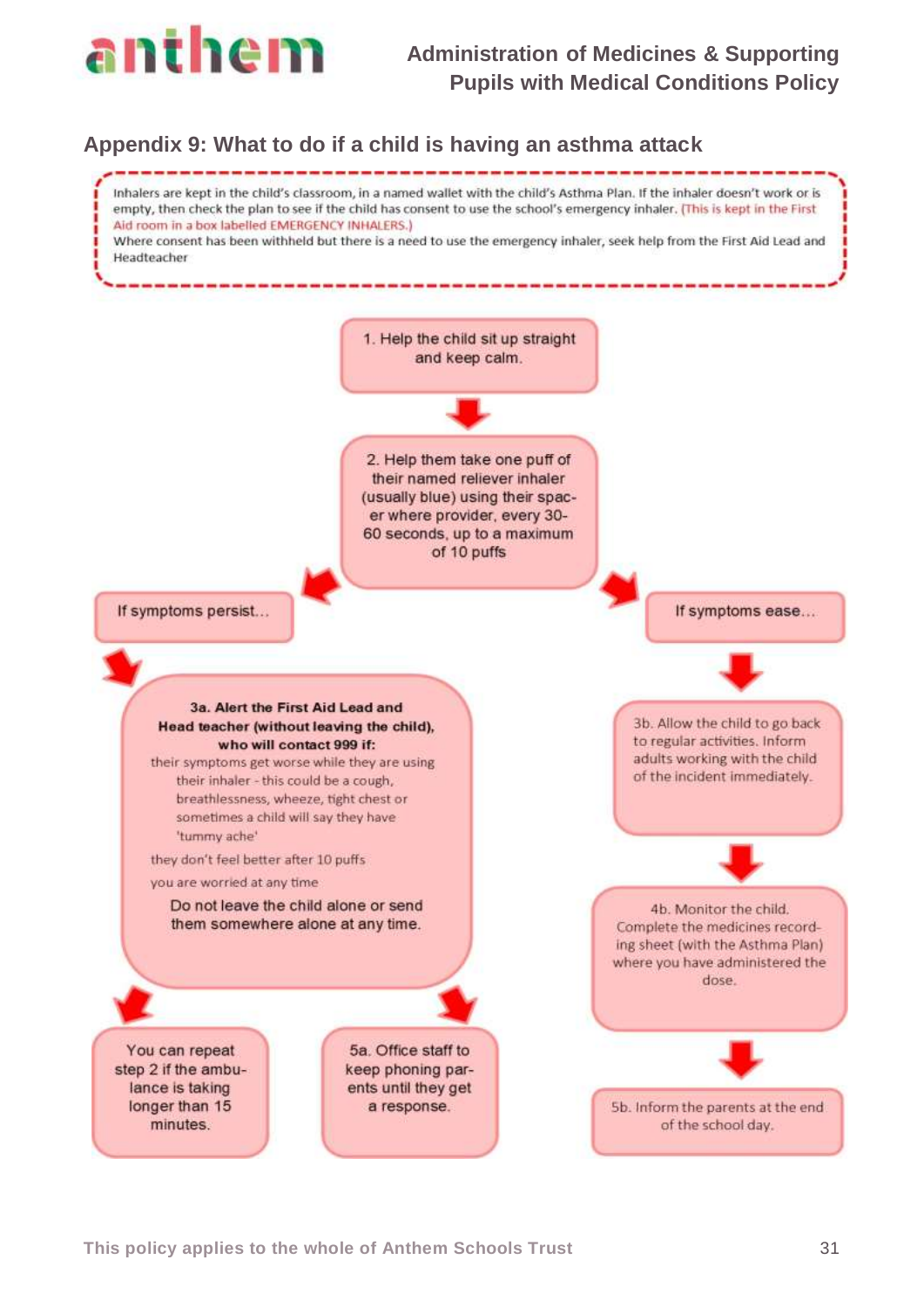

## **Appendix 9: What to do if a child is having an asthma attack**

Inhalers are kept in the child's classroom, in a named wallet with the child's Asthma Plan, If the inhaler doesn't work or is empty, then check the plan to see if the child has consent to use the school's emergency inhaler. (This is kept in the First Aid room in a box labelled EMERGENCY INHALERS.) Where consent has been withheld but there is a need to use the emergency inhaler, seek help from the First Aid Lead and Headteacher 1. Help the child sit up straight and keep calm. 2. Help them take one puff of their named reliever inhaler (usually blue) using their spacer where provider, every 30-60 seconds, up to a maximum of 10 puffs If symptoms persist... If symptoms ease... 3a. Alert the First Aid Lead and 3b. Allow the child to go back Head teacher (without leaving the child). to regular activities, Inform who will contact 999 if: adults working with the child their symptoms get worse while they are using of the incident immediately. their inhaler - this could be a cough. breathlessness, wheeze, tight chest or sometimes a child will say they have 'tummy ache' they don't feel better after 10 puffs you are worried at any time Do not leave the child alone or send 4b. Monitor the child. them somewhere alone at any time. Complete the medicines recording sheet (with the Asthma Plan) where you have administered the dose You can repeat 5a. Office staff to step 2 if the ambukeep phoning parlance is taking ents until they get longer than 15 a response. 5b. Inform the parents at the end minutes. of the school day.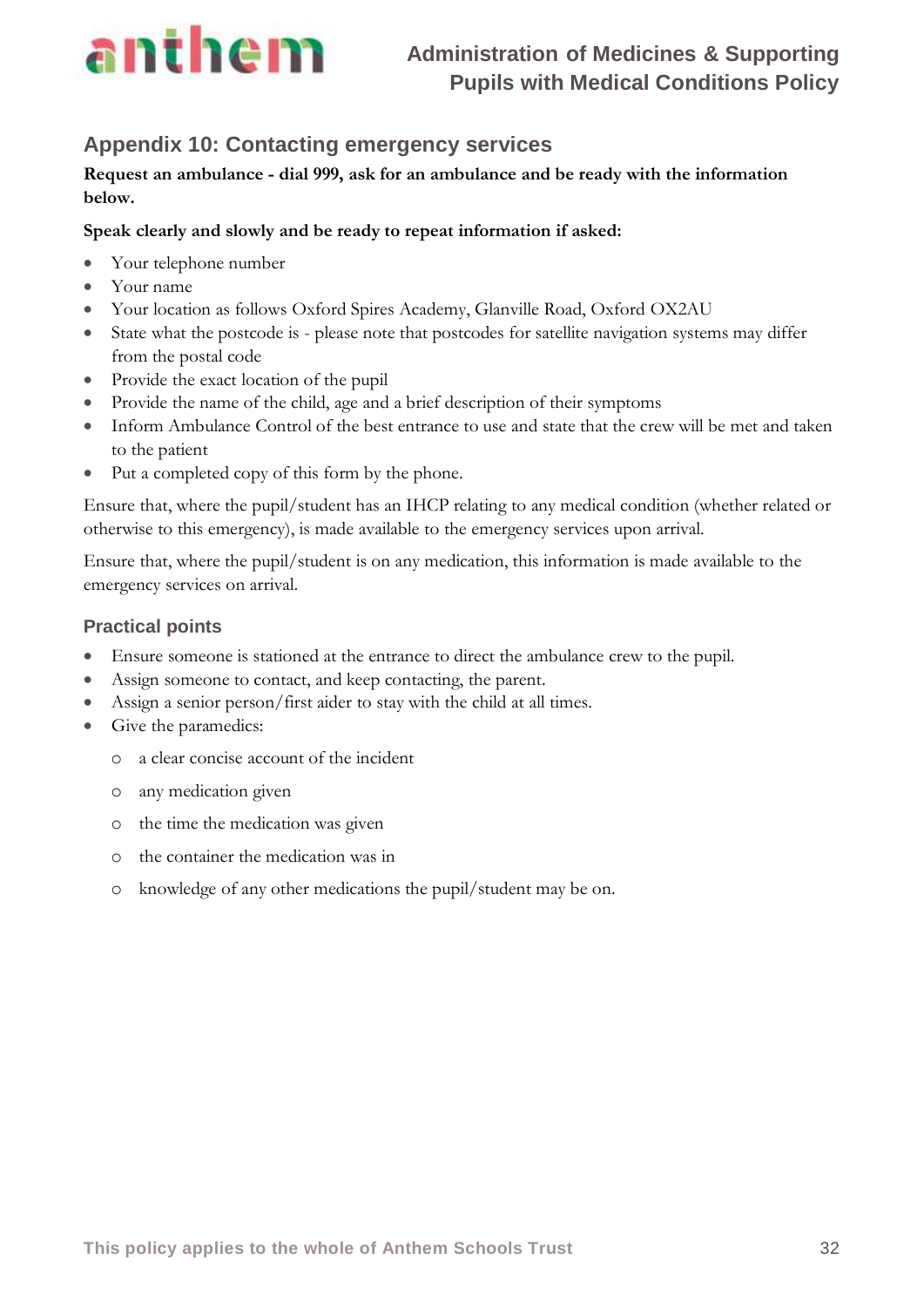

## **Appendix 10: Contacting emergency services**

**Request an ambulance - dial 999, ask for an ambulance and be ready with the information below.**

#### **Speak clearly and slowly and be ready to repeat information if asked:**

- Your telephone number
- Your name
- Your location as follows Oxford Spires Academy, Glanville Road, Oxford OX2AU
- State what the postcode is please note that postcodes for satellite navigation systems may differ from the postal code
- Provide the exact location of the pupil
- Provide the name of the child, age and a brief description of their symptoms
- Inform Ambulance Control of the best entrance to use and state that the crew will be met and taken to the patient
- Put a completed copy of this form by the phone.

Ensure that, where the pupil/student has an IHCP relating to any medical condition (whether related or otherwise to this emergency), is made available to the emergency services upon arrival.

Ensure that, where the pupil/student is on any medication, this information is made available to the emergency services on arrival.

#### **Practical points**

- Ensure someone is stationed at the entrance to direct the ambulance crew to the pupil.
- Assign someone to contact, and keep contacting, the parent.
- Assign a senior person/first aider to stay with the child at all times.
- Give the paramedics:
	- o a clear concise account of the incident
	- o any medication given
	- o the time the medication was given
	- o the container the medication was in
	- o knowledge of any other medications the pupil/student may be on.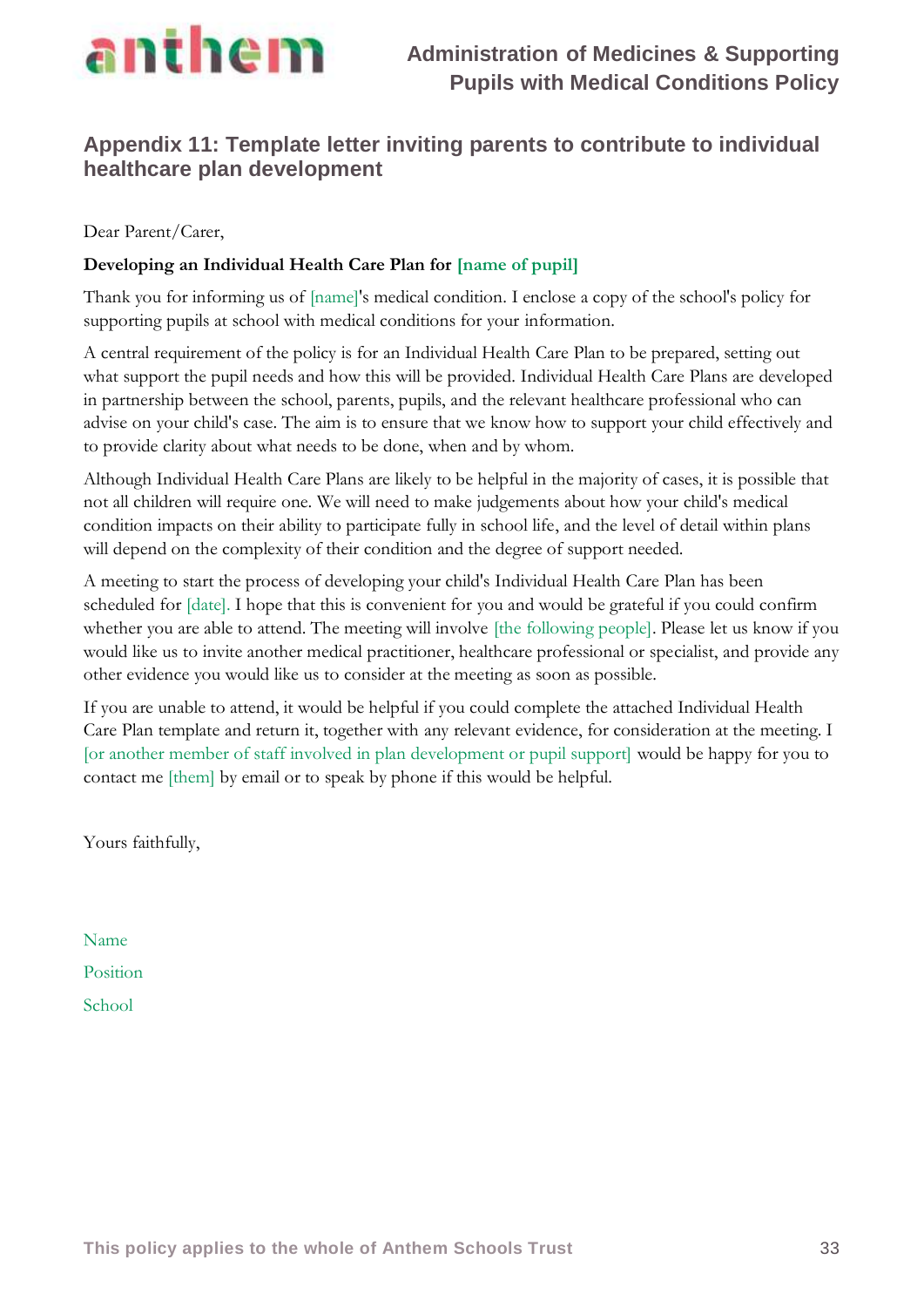

## **Appendix 11: Template letter inviting parents to contribute to individual healthcare plan development**

Dear Parent/Carer,

#### **Developing an Individual Health Care Plan for [name of pupil]**

Thank you for informing us of [name]'s medical condition. I enclose a copy of the school's policy for supporting pupils at school with medical conditions for your information.

A central requirement of the policy is for an Individual Health Care Plan to be prepared, setting out what support the pupil needs and how this will be provided. Individual Health Care Plans are developed in partnership between the school, parents, pupils, and the relevant healthcare professional who can advise on your child's case. The aim is to ensure that we know how to support your child effectively and to provide clarity about what needs to be done, when and by whom.

Although Individual Health Care Plans are likely to be helpful in the majority of cases, it is possible that not all children will require one. We will need to make judgements about how your child's medical condition impacts on their ability to participate fully in school life, and the level of detail within plans will depend on the complexity of their condition and the degree of support needed.

A meeting to start the process of developing your child's Individual Health Care Plan has been scheduled for [date]. I hope that this is convenient for you and would be grateful if you could confirm whether you are able to attend. The meeting will involve [the following people]. Please let us know if you would like us to invite another medical practitioner, healthcare professional or specialist, and provide any other evidence you would like us to consider at the meeting as soon as possible.

If you are unable to attend, it would be helpful if you could complete the attached Individual Health Care Plan template and return it, together with any relevant evidence, for consideration at the meeting. I [or another member of staff involved in plan development or pupil support] would be happy for you to contact me [them] by email or to speak by phone if this would be helpful.

Yours faithfully,

Name Position School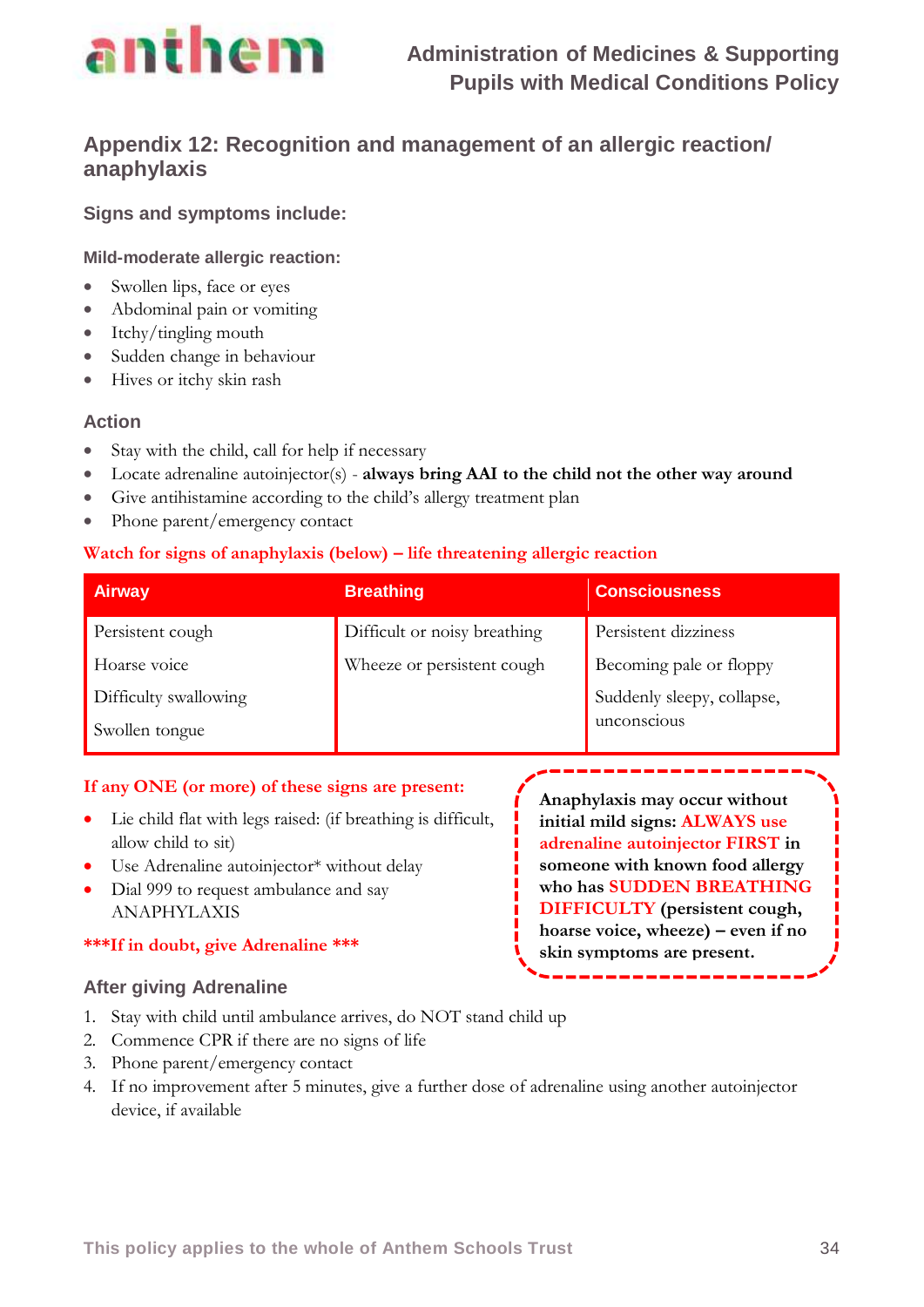

## **Appendix 12: Recognition and management of an allergic reaction/ anaphylaxis**

**Signs and symptoms include:**

#### **Mild-moderate allergic reaction:**

- Swollen lips, face or eyes
- Abdominal pain or vomiting
- $\bullet$  Itchy/tingling mouth
- Sudden change in behaviour
- Hives or itchy skin rash

#### **Action**

- Stay with the child, call for help if necessary
- Locate adrenaline autoinjector(s) **always bring AAI to the child not the other way around**
- Give antihistamine according to the child's allergy treatment plan
- Phone parent/emergency contact

#### **Watch for signs of anaphylaxis (below) – life threatening allergic reaction**

| <b>Airway</b>         | <b>Breathing</b>             | <b>Consciousness</b>       |
|-----------------------|------------------------------|----------------------------|
| Persistent cough      | Difficult or noisy breathing | Persistent dizziness       |
| Hoarse voice          | Wheeze or persistent cough   | Becoming pale or floppy    |
| Difficulty swallowing |                              | Suddenly sleepy, collapse, |
| Swollen tongue        |                              | unconscious                |

#### **If any ONE (or more) of these signs are present:**

- Lie child flat with legs raised: (if breathing is difficult, allow child to sit)
- Use Adrenaline autoinjector\* without delay
- Dial 999 to request ambulance and say ANAPHYLAXIS

#### **\*\*\*If in doubt, give Adrenaline \*\*\***

#### **After giving Adrenaline**

- 1. Stay with child until ambulance arrives, do NOT stand child up
- 2. Commence CPR if there are no signs of life
- 3. Phone parent/emergency contact
- 4. If no improvement after 5 minutes, give a further dose of adrenaline using another autoinjector device, if available

**Anaphylaxis may occur without initial mild signs: ALWAYS use adrenaline autoinjector FIRST in someone with known food allergy who has SUDDEN BREATHING DIFFICULTY (persistent cough, hoarse voice, wheeze) – even if no skin symptoms are present.**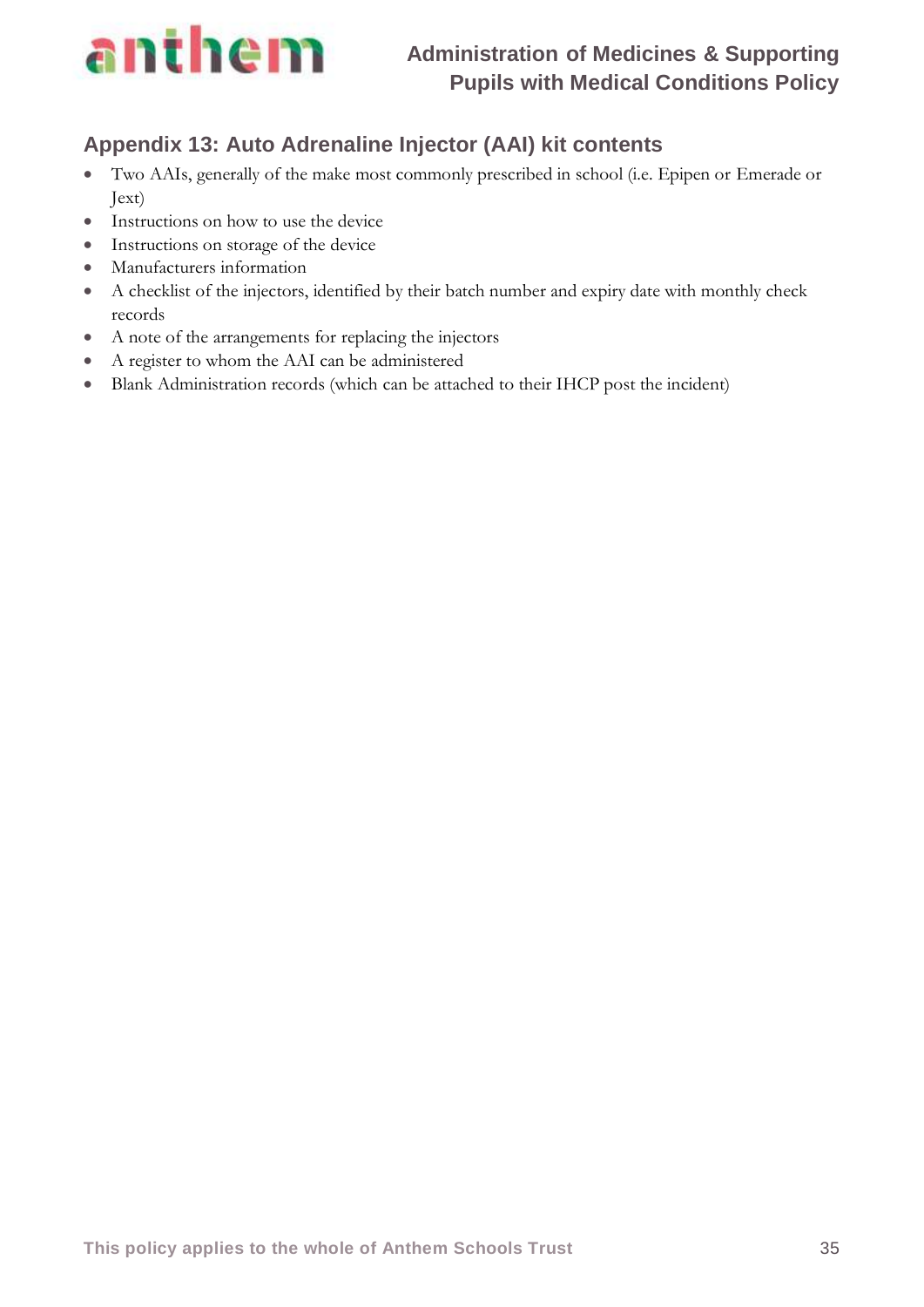

## **Appendix 13: Auto Adrenaline Injector (AAI) kit contents**

- Two AAIs, generally of the make most commonly prescribed in school (i.e. Epipen or Emerade or Jext)
- Instructions on how to use the device
- Instructions on storage of the device
- Manufacturers information
- A checklist of the injectors, identified by their batch number and expiry date with monthly check records
- A note of the arrangements for replacing the injectors
- A register to whom the AAI can be administered
- Blank Administration records (which can be attached to their IHCP post the incident)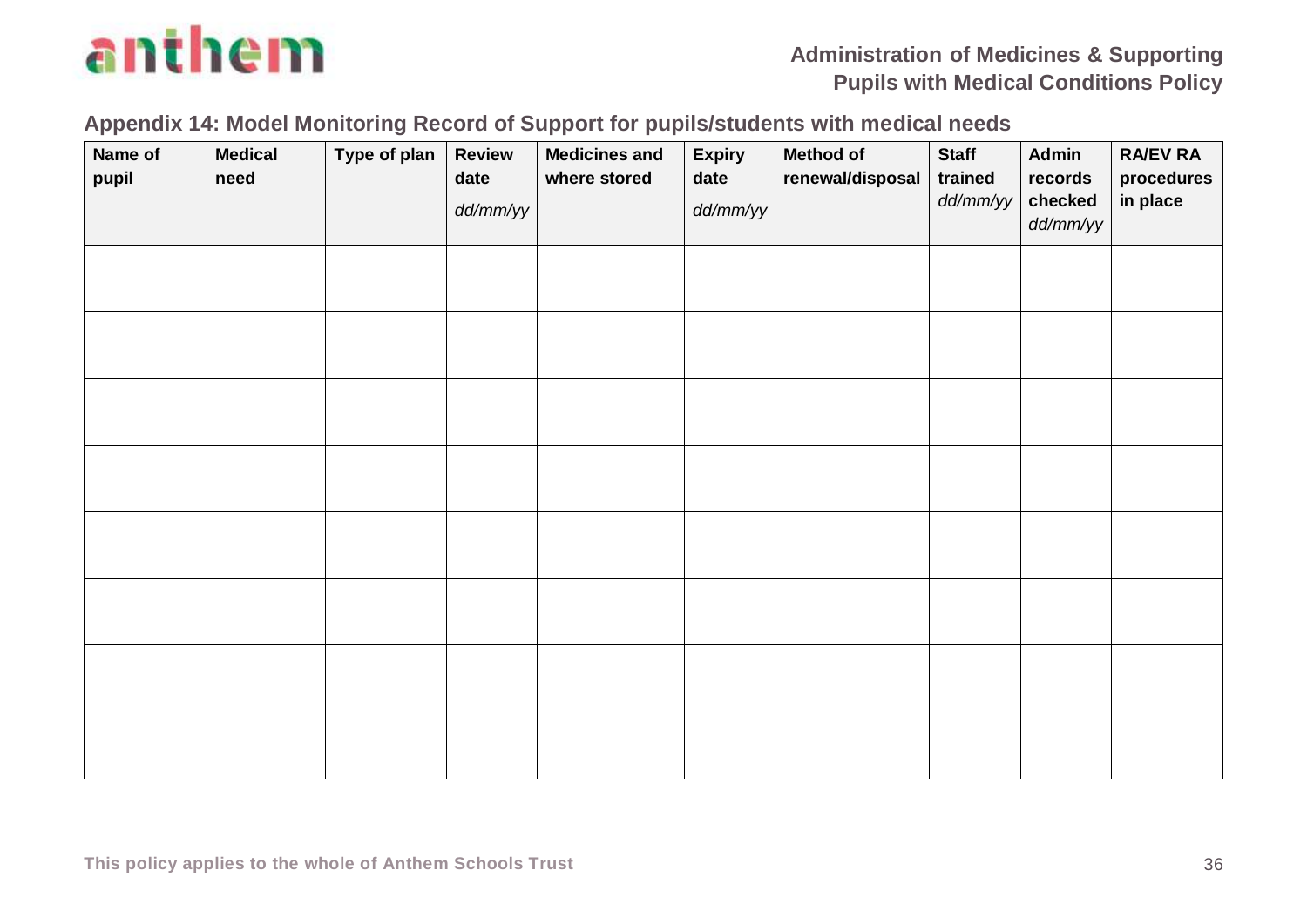## **Appendix 14: Model Monitoring Record of Support for pupils/students with medical needs**

| Name of<br>pupil | <b>Medical</b><br>need | Type of plan | <b>Review</b><br>date<br>dd/mm/yy | <b>Medicines and</b><br>where stored | <b>Expiry</b><br>date<br>dd/mm/yy | Method of<br>renewal/disposal | <b>Staff</b><br>trained<br>dd/mm/yy | <b>Admin</b><br>records<br>checked<br>dd/mm/yy | <b>RA/EV RA</b><br>procedures<br>in place |
|------------------|------------------------|--------------|-----------------------------------|--------------------------------------|-----------------------------------|-------------------------------|-------------------------------------|------------------------------------------------|-------------------------------------------|
|                  |                        |              |                                   |                                      |                                   |                               |                                     |                                                |                                           |
|                  |                        |              |                                   |                                      |                                   |                               |                                     |                                                |                                           |
|                  |                        |              |                                   |                                      |                                   |                               |                                     |                                                |                                           |
|                  |                        |              |                                   |                                      |                                   |                               |                                     |                                                |                                           |
|                  |                        |              |                                   |                                      |                                   |                               |                                     |                                                |                                           |
|                  |                        |              |                                   |                                      |                                   |                               |                                     |                                                |                                           |
|                  |                        |              |                                   |                                      |                                   |                               |                                     |                                                |                                           |
|                  |                        |              |                                   |                                      |                                   |                               |                                     |                                                |                                           |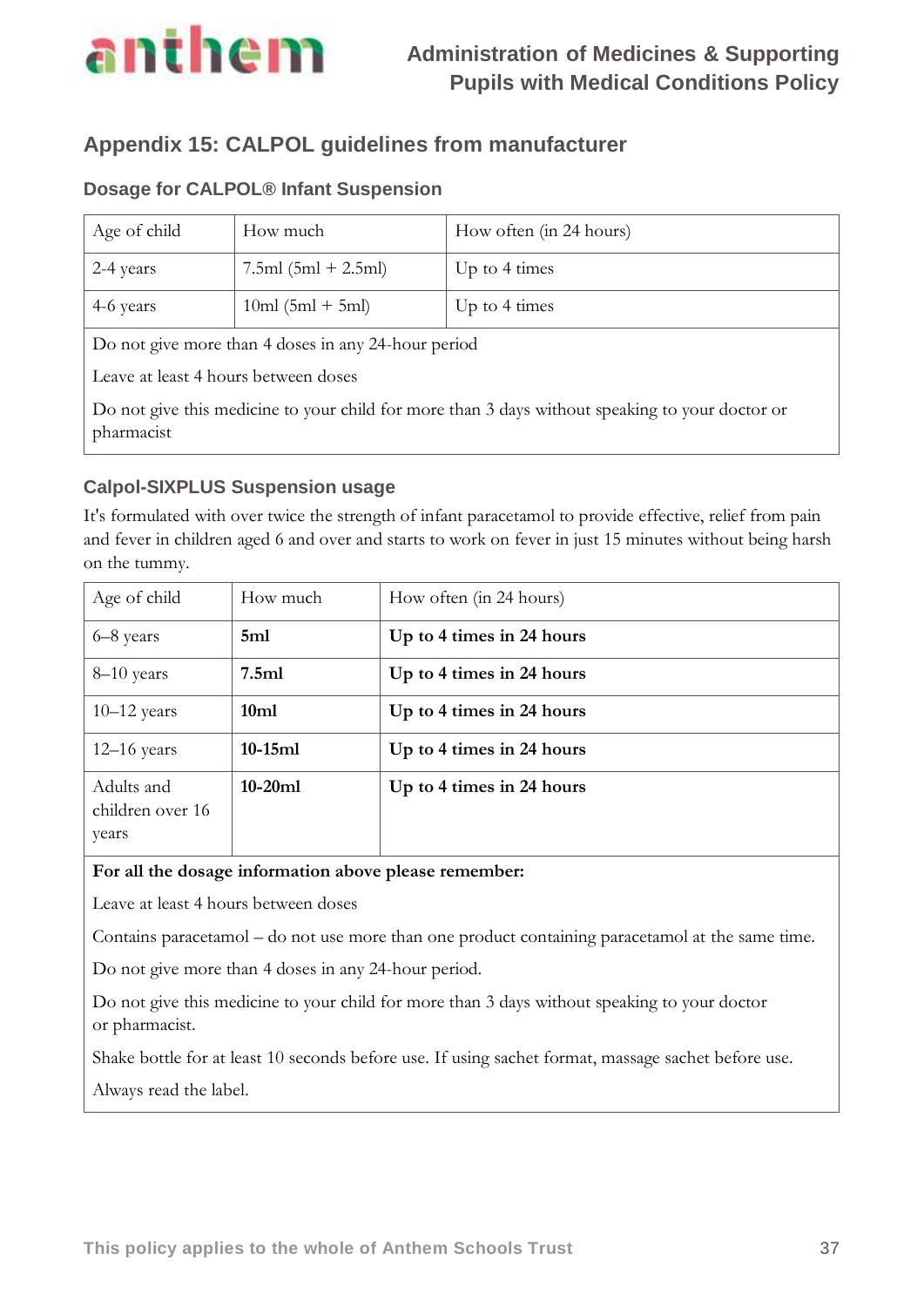

## **Appendix 15: CALPOL guidelines from manufacturer**

### **Dosage for CALPOL® Infant Suspension**

| Age of child                                                                                                  | How much              | How often (in 24 hours) |  |  |
|---------------------------------------------------------------------------------------------------------------|-----------------------|-------------------------|--|--|
| 2-4 years                                                                                                     | $7.5ml (5ml + 2.5ml)$ | Up to 4 times           |  |  |
| 4-6 years                                                                                                     | $10ml (5ml + 5ml)$    | Up to 4 times           |  |  |
| Do not give more than 4 doses in any 24-hour period                                                           |                       |                         |  |  |
| Leave at least 4 hours between doses                                                                          |                       |                         |  |  |
| Do not give this medicine to your child for more than 3 days without speaking to your doctor or<br>pharmacist |                       |                         |  |  |

### **Calpol-SIXPLUS Suspension usage**

It's formulated with over twice the strength of infant paracetamol to provide effective, relief from pain and fever in children aged 6 and over and starts to work on fever in just 15 minutes without being harsh on the tummy.

| Age of child                            | How much         | How often (in 24 hours)   |
|-----------------------------------------|------------------|---------------------------|
| 6–8 years                               | 5ml              | Up to 4 times in 24 hours |
| 8–10 years                              | 7.5ml            | Up to 4 times in 24 hours |
| $10-12$ years                           | 10 <sub>ml</sub> | Up to 4 times in 24 hours |
| $12-16$ years                           | $10-15ml$        | Up to 4 times in 24 hours |
| Adults and<br>children over 16<br>years | $10-20ml$        | Up to 4 times in 24 hours |

#### **For all the dosage information above please remember:**

Leave at least 4 hours between doses

Contains paracetamol – do not use more than one product containing paracetamol at the same time.

Do not give more than 4 doses in any 24-hour period.

Do not give this medicine to your child for more than 3 days without speaking to your doctor or pharmacist.

Shake bottle for at least 10 seconds before use. If using sachet format, massage sachet before use.

Always read the label.